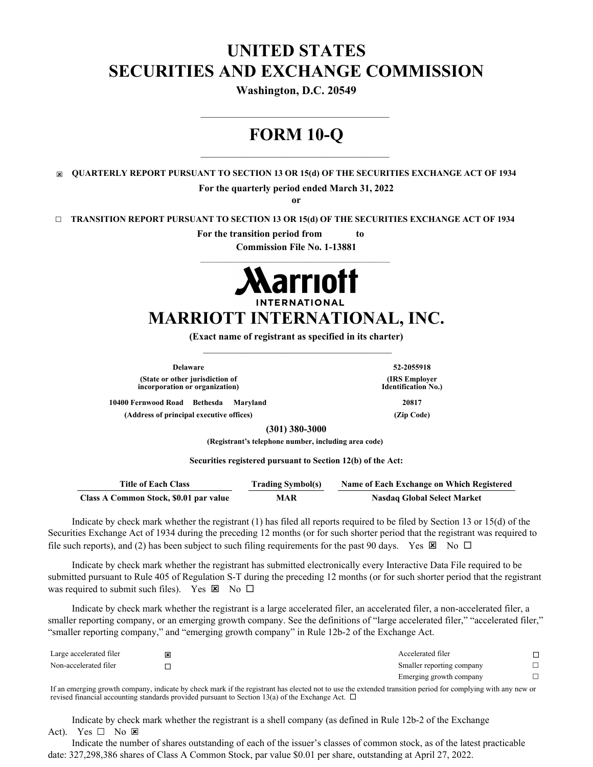# **UNITED STATES SECURITIES AND EXCHANGE COMMISSION**

**Washington, D.C. 20549**

# **FORM 10-Q**

\_\_\_\_\_\_\_\_\_\_\_\_\_\_\_\_\_\_\_\_\_\_\_\_\_\_\_\_\_\_\_\_\_\_\_\_\_\_\_

☒ **QUARTERLY REPORT PURSUANT TO SECTION 13 OR 15(d) OF THE SECURITIES EXCHANGE ACT OF 1934**

**For the quarterly period ended March 31, 2022**

**or**

☐ **TRANSITION REPORT PURSUANT TO SECTION 13 OR 15(d) OF THE SECURITIES EXCHANGE ACT OF 1934**

**For the transition period from to** 

**Commission File No. 1-13881**



# **MARRIOTT INTERNATIONAL, INC.**

**(Exact name of registrant as specified in its charter)**  $\frac{1}{2}$  ,  $\frac{1}{2}$  ,  $\frac{1}{2}$  ,  $\frac{1}{2}$  ,  $\frac{1}{2}$  ,  $\frac{1}{2}$  ,  $\frac{1}{2}$  ,  $\frac{1}{2}$  ,  $\frac{1}{2}$  ,  $\frac{1}{2}$  ,  $\frac{1}{2}$  ,  $\frac{1}{2}$  ,  $\frac{1}{2}$  ,  $\frac{1}{2}$  ,  $\frac{1}{2}$  ,  $\frac{1}{2}$  ,  $\frac{1}{2}$  ,  $\frac{1}{2}$  ,  $\frac{1$ 

**Delaware 52-2055918 (State or other jurisdiction of incorporation or organization)**

**(IRS Employer Identification No.)**

**10400 Fernwood Road Bethesda Maryland 20817**

**(Address of principal executive offices) (Zip Code)**

**(301) 380-3000**

**(Registrant's telephone number, including area code)**

**Securities registered pursuant to Section 12(b) of the Act:**

| <b>Title of Each Class</b>             | <b>Trading Symbol(s)</b> | Name of Each Exchange on Which Registered |  |  |  |  |
|----------------------------------------|--------------------------|-------------------------------------------|--|--|--|--|
| Class A Common Stock, \$0.01 par value | MAR                      | <b>Nasdaq Global Select Market</b>        |  |  |  |  |

Indicate by check mark whether the registrant (1) has filed all reports required to be filed by Section 13 or 15(d) of the Securities Exchange Act of 1934 during the preceding 12 months (or for such shorter period that the registrant was required to file such reports), and (2) has been subject to such filing requirements for the past 90 days. Yes  $\boxtimes$  No  $\square$ 

Indicate by check mark whether the registrant has submitted electronically every Interactive Data File required to be submitted pursuant to Rule 405 of Regulation S-T during the preceding 12 months (or for such shorter period that the registrant was required to submit such files). Yes  $\boxtimes$  No  $\square$ 

Indicate by check mark whether the registrant is a large accelerated filer, an accelerated filer, a non-accelerated filer, a smaller reporting company, or an emerging growth company. See the definitions of "large accelerated filer," "accelerated filer," "smaller reporting company," and "emerging growth company" in Rule 12b-2 of the Exchange Act.

| Large accelerated filer | 図 |  | Accelerated filer         |  |
|-------------------------|---|--|---------------------------|--|
| Non-accelerated filer   |   |  | Smaller reporting company |  |
|                         |   |  | Emerging growth company   |  |
| $ -$                    | . |  | .                         |  |

If an emerging growth company, indicate by check mark if the registrant has elected not to use the extended transition period for complying with any new or revised financial accounting standards provided pursuant to Section 13(a) of the Exchange Act.  $\Box$ 

Indicate by check mark whether the registrant is a shell company (as defined in Rule 12b-2 of the Exchange Act). Yes  $\square$  No  $\square$ 

Indicate the number of shares outstanding of each of the issuer's classes of common stock, as of the latest practicable date: 327,298,386 shares of Class A Common Stock, par value \$0.01 per share, outstanding at April 27, 2022.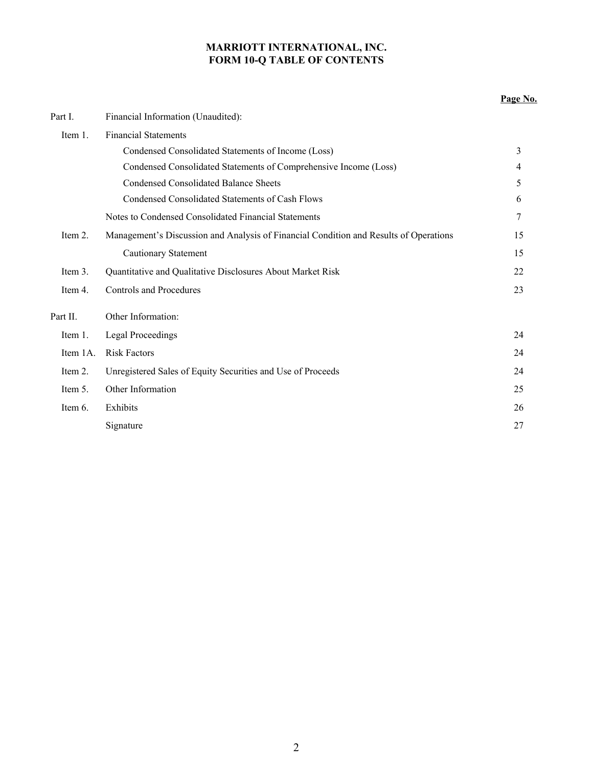## **MARRIOTT INTERNATIONAL, INC. FORM 10-Q TABLE OF CONTENTS**

|            |                                                                                       | Page No.       |
|------------|---------------------------------------------------------------------------------------|----------------|
| Part I.    | Financial Information (Unaudited):                                                    |                |
| Item $1$ . | <b>Financial Statements</b>                                                           |                |
|            | Condensed Consolidated Statements of Income (Loss)                                    | 3              |
|            | Condensed Consolidated Statements of Comprehensive Income (Loss)                      | $\overline{4}$ |
|            | Condensed Consolidated Balance Sheets                                                 | 5              |
|            | Condensed Consolidated Statements of Cash Flows                                       | 6              |
|            | Notes to Condensed Consolidated Financial Statements                                  | 7              |
| Item $21$  | Management's Discussion and Analysis of Financial Condition and Results of Operations | 15             |
|            | Cautionary Statement                                                                  | 15             |
| Item 3.    | Quantitative and Qualitative Disclosures About Market Risk                            | 22             |
| Item 4.    | Controls and Procedures                                                               | 23             |
| Part II.   | Other Information:                                                                    |                |
| Item 1.    | Legal Proceedings                                                                     | 24             |
| Item 1A.   | <b>Risk Factors</b>                                                                   | 24             |
| Item 2.    | Unregistered Sales of Equity Securities and Use of Proceeds                           | 24             |
| Item 5.    | Other Information                                                                     | 25             |
| Item 6.    | Exhibits                                                                              | 26             |
|            | Signature                                                                             | 27             |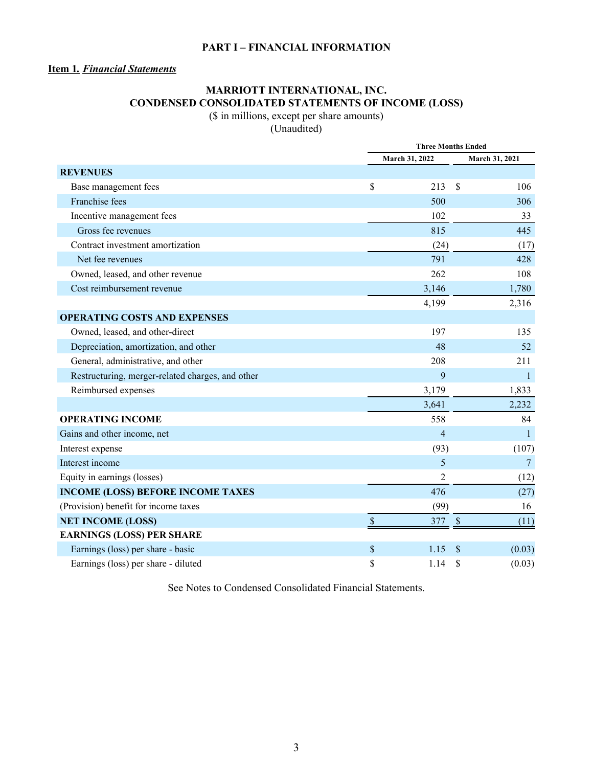## **PART I – FINANCIAL INFORMATION**

## **Item 1***. Financial Statements*

## **MARRIOTT INTERNATIONAL, INC. CONDENSED CONSOLIDATED STATEMENTS OF INCOME (LOSS)**

(\$ in millions, except per share amounts)

(Unaudited)

|                                                  |               | <b>Three Months Ended</b> |               |                |  |
|--------------------------------------------------|---------------|---------------------------|---------------|----------------|--|
|                                                  |               | March 31, 2022            |               | March 31, 2021 |  |
| <b>REVENUES</b>                                  |               |                           |               |                |  |
| Base management fees                             | \$            | 213                       | \$            | 106            |  |
| Franchise fees                                   |               | 500                       |               | 306            |  |
| Incentive management fees                        |               | 102                       |               | 33             |  |
| Gross fee revenues                               |               | 815                       |               | 445            |  |
| Contract investment amortization                 |               | (24)                      |               | (17)           |  |
| Net fee revenues                                 |               | 791                       |               | 428            |  |
| Owned, leased, and other revenue                 |               | 262                       |               | 108            |  |
| Cost reimbursement revenue                       |               | 3,146                     |               | 1,780          |  |
|                                                  |               | 4,199                     |               | 2,316          |  |
| <b>OPERATING COSTS AND EXPENSES</b>              |               |                           |               |                |  |
| Owned, leased, and other-direct                  |               | 197                       |               | 135            |  |
| Depreciation, amortization, and other            |               | 48                        |               | 52             |  |
| General, administrative, and other               |               | 208                       |               | 211            |  |
| Restructuring, merger-related charges, and other |               | 9                         |               | $\mathbf{1}$   |  |
| Reimbursed expenses                              |               | 3,179                     |               | 1,833          |  |
|                                                  |               | 3,641                     |               | 2,232          |  |
| <b>OPERATING INCOME</b>                          |               | 558                       |               | 84             |  |
| Gains and other income, net                      |               | $\overline{4}$            |               | $\mathbf{1}$   |  |
| Interest expense                                 |               | (93)                      |               | (107)          |  |
| Interest income                                  |               | 5                         |               | $\overline{7}$ |  |
| Equity in earnings (losses)                      |               | 2                         |               | (12)           |  |
| <b>INCOME (LOSS) BEFORE INCOME TAXES</b>         |               | 476                       |               | (27)           |  |
| (Provision) benefit for income taxes             |               | (99)                      |               | 16             |  |
| <b>NET INCOME (LOSS)</b>                         | $\mathcal{S}$ | 377                       | $\mathcal{S}$ | (11)           |  |
| <b>EARNINGS (LOSS) PER SHARE</b>                 |               |                           |               |                |  |
| Earnings (loss) per share - basic                | \$            | 1.15                      | <sup>\$</sup> | (0.03)         |  |
| Earnings (loss) per share - diluted              | \$            | 1.14                      | \$            | (0.03)         |  |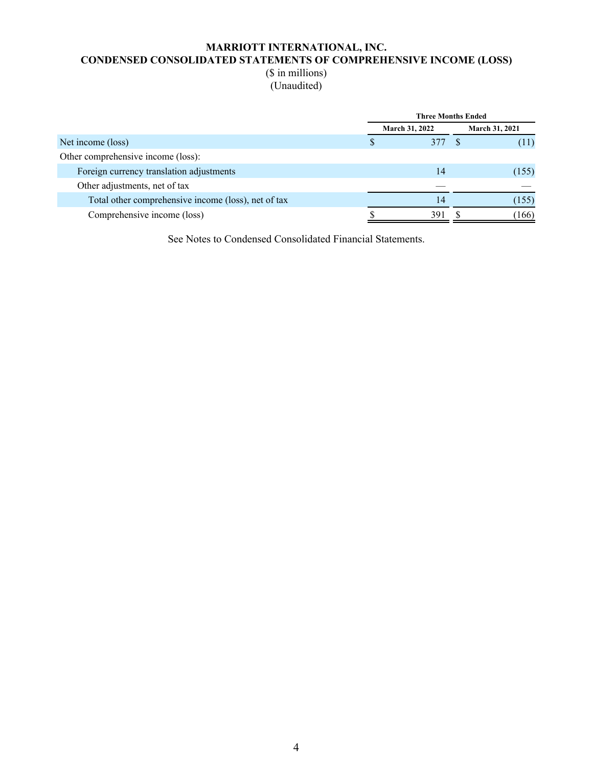## **MARRIOTT INTERNATIONAL, INC. CONDENSED CONSOLIDATED STATEMENTS OF COMPREHENSIVE INCOME (LOSS)** (\$ in millions)

(Unaudited)

|                                                     | <b>Three Months Ended</b> |  |                |  |  |
|-----------------------------------------------------|---------------------------|--|----------------|--|--|
|                                                     | <b>March 31, 2022</b>     |  | March 31, 2021 |  |  |
| Net income (loss)                                   |                           |  | (11)           |  |  |
| Other comprehensive income (loss):                  |                           |  |                |  |  |
| Foreign currency translation adjustments            | 14                        |  | (155)          |  |  |
| Other adjustments, net of tax                       |                           |  |                |  |  |
| Total other comprehensive income (loss), net of tax | 14                        |  | (155)          |  |  |
| Comprehensive income (loss)                         | 391                       |  | (166)          |  |  |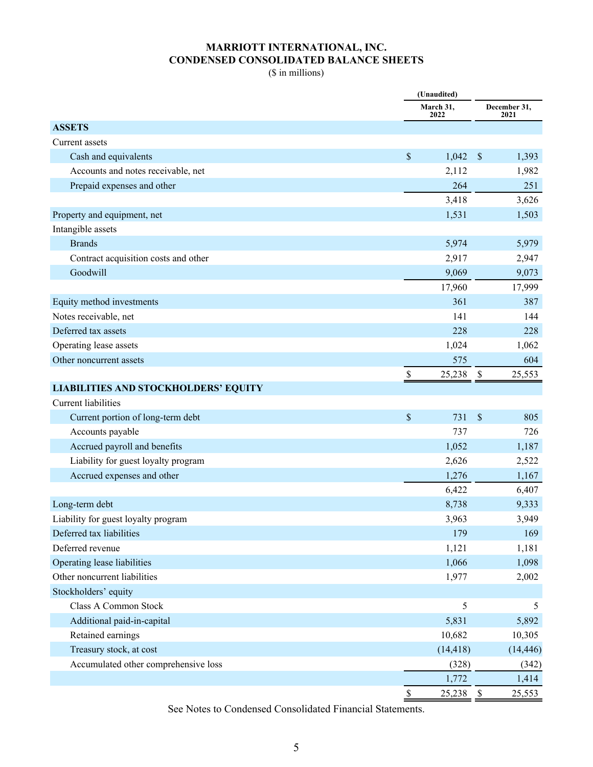## **MARRIOTT INTERNATIONAL, INC. CONDENSED CONSOLIDATED BALANCE SHEETS**

(\$ in millions)

|                                             |                           | (Unaudited)<br>March 31,<br>December 31, |               |           |
|---------------------------------------------|---------------------------|------------------------------------------|---------------|-----------|
|                                             |                           | 2022                                     |               | 2021      |
| <b>ASSETS</b>                               |                           |                                          |               |           |
| Current assets                              |                           |                                          |               |           |
| Cash and equivalents                        | $\$$                      | 1,042                                    | $\mathcal{S}$ | 1,393     |
| Accounts and notes receivable, net          |                           | 2,112                                    |               | 1,982     |
| Prepaid expenses and other                  |                           | 264                                      |               | 251       |
|                                             |                           | 3,418                                    |               | 3,626     |
| Property and equipment, net                 |                           | 1,531                                    |               | 1,503     |
| Intangible assets                           |                           |                                          |               |           |
| <b>Brands</b>                               |                           | 5,974                                    |               | 5,979     |
| Contract acquisition costs and other        |                           | 2,917                                    |               | 2,947     |
| Goodwill                                    |                           | 9,069                                    |               | 9,073     |
|                                             |                           | 17,960                                   |               | 17,999    |
| Equity method investments                   |                           | 361                                      |               | 387       |
| Notes receivable, net                       |                           | 141                                      |               | 144       |
| Deferred tax assets                         |                           | 228                                      |               | 228       |
| Operating lease assets                      |                           | 1,024                                    |               | 1,062     |
| Other noncurrent assets                     |                           | 575                                      |               | 604       |
|                                             | \$                        | 25,238                                   | \$            | 25,553    |
| <b>LIABILITIES AND STOCKHOLDERS' EQUITY</b> |                           |                                          |               |           |
| Current liabilities                         |                           |                                          |               |           |
| Current portion of long-term debt           | $\boldsymbol{\mathsf{S}}$ | 731                                      | $\mathsf{\$}$ | 805       |
| Accounts payable                            |                           | 737                                      |               | 726       |
| Accrued payroll and benefits                |                           | 1,052                                    |               | 1,187     |
| Liability for guest loyalty program         |                           | 2,626                                    |               | 2,522     |
| Accrued expenses and other                  |                           | 1,276                                    |               | 1,167     |
|                                             |                           | 6,422                                    |               | 6,407     |
| Long-term debt                              |                           | 8,738                                    |               | 9,333     |
| Liability for guest loyalty program         |                           | 3,963                                    |               | 3,949     |
| Deferred tax liabilities                    |                           | 179                                      |               | 169       |
| Deferred revenue                            |                           | 1,121                                    |               | 1,181     |
| Operating lease liabilities                 |                           | 1,066                                    |               | 1,098     |
| Other noncurrent liabilities                |                           | 1,977                                    |               | 2,002     |
| Stockholders' equity                        |                           |                                          |               |           |
| Class A Common Stock                        |                           | 5                                        |               | 5         |
| Additional paid-in-capital                  |                           | 5,831                                    |               | 5,892     |
| Retained earnings                           |                           | 10,682                                   |               | 10,305    |
| Treasury stock, at cost                     |                           | (14, 418)                                |               | (14, 446) |
| Accumulated other comprehensive loss        |                           | (328)                                    |               | (342)     |
|                                             |                           | 1,772                                    |               | 1,414     |
|                                             | $\mathbb{S}$              | 25,238                                   | \$            | 25,553    |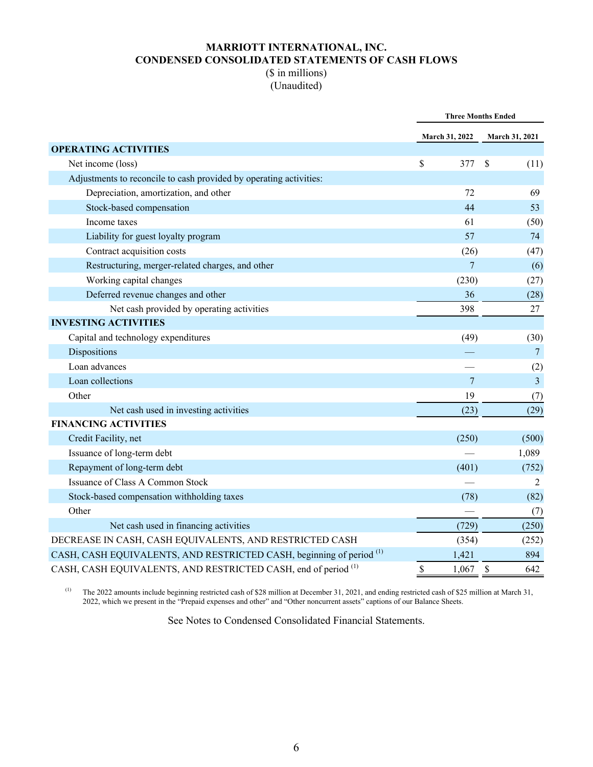## **MARRIOTT INTERNATIONAL, INC. CONDENSED CONSOLIDATED STATEMENTS OF CASH FLOWS** (\$ in millions)

# (Unaudited)

|                                                                                 | <b>Three Months Ended</b> |               |                       |  |
|---------------------------------------------------------------------------------|---------------------------|---------------|-----------------------|--|
|                                                                                 | <b>March 31, 2022</b>     |               | <b>March 31, 2021</b> |  |
| <b>OPERATING ACTIVITIES</b>                                                     |                           |               |                       |  |
| Net income (loss)                                                               | \$<br>377                 | \$            | (11)                  |  |
| Adjustments to reconcile to cash provided by operating activities:              |                           |               |                       |  |
| Depreciation, amortization, and other                                           | 72                        |               | 69                    |  |
| Stock-based compensation                                                        | 44                        |               | 53                    |  |
| Income taxes                                                                    | 61                        |               | (50)                  |  |
| Liability for guest loyalty program                                             | 57                        |               | 74                    |  |
| Contract acquisition costs                                                      | (26)                      |               | (47)                  |  |
| Restructuring, merger-related charges, and other                                | $\overline{7}$            |               | (6)                   |  |
| Working capital changes                                                         | (230)                     |               | (27)                  |  |
| Deferred revenue changes and other                                              | 36                        |               | (28)                  |  |
| Net cash provided by operating activities                                       | 398                       |               | 27                    |  |
| <b>INVESTING ACTIVITIES</b>                                                     |                           |               |                       |  |
| Capital and technology expenditures                                             | (49)                      |               | (30)                  |  |
| Dispositions                                                                    |                           |               | $7\phantom{.0}$       |  |
| Loan advances                                                                   |                           |               | (2)                   |  |
| Loan collections                                                                | 7                         |               | $\overline{3}$        |  |
| Other                                                                           | 19                        |               | (7)                   |  |
| Net cash used in investing activities                                           | (23)                      |               | (29)                  |  |
| <b>FINANCING ACTIVITIES</b>                                                     |                           |               |                       |  |
| Credit Facility, net                                                            | (250)                     |               | (500)                 |  |
| Issuance of long-term debt                                                      |                           |               | 1,089                 |  |
| Repayment of long-term debt                                                     | (401)                     |               | (752)                 |  |
| <b>Issuance of Class A Common Stock</b>                                         |                           |               | 2                     |  |
| Stock-based compensation withholding taxes                                      | (78)                      |               | (82)                  |  |
| Other                                                                           |                           |               | (7)                   |  |
| Net cash used in financing activities                                           | (729)                     |               | (250)                 |  |
| DECREASE IN CASH, CASH EQUIVALENTS, AND RESTRICTED CASH                         | (354)                     |               | (252)                 |  |
| CASH, CASH EQUIVALENTS, AND RESTRICTED CASH, beginning of period <sup>(1)</sup> | 1,421                     |               | 894                   |  |
| CASH, CASH EQUIVALENTS, AND RESTRICTED CASH, end of period <sup>(1)</sup>       | \$<br>1,067               | $\mathcal{S}$ | 642                   |  |

(1) The 2022 amounts include beginning restricted cash of \$28 million at December 31, 2021, and ending restricted cash of \$25 million at March 31, 2022, which we present in the "Prepaid expenses and other" and "Other noncurrent assets" captions of our Balance Sheets.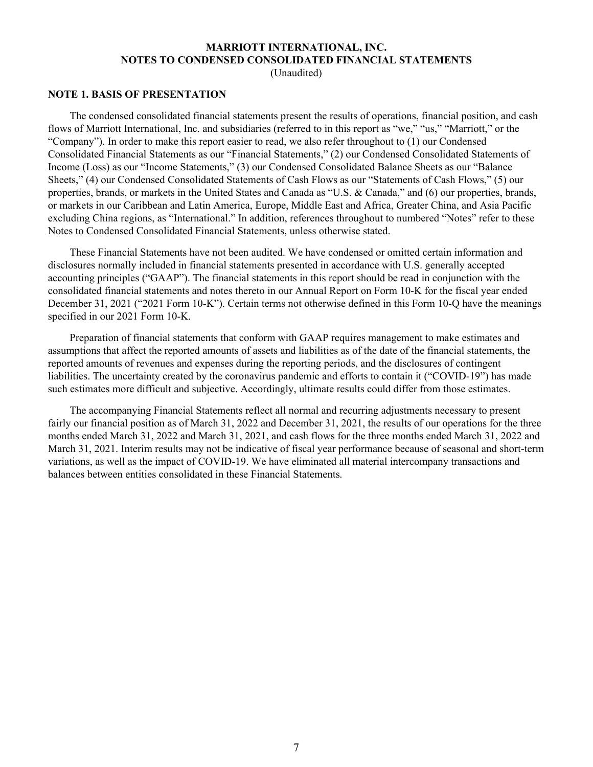## **MARRIOTT INTERNATIONAL, INC. NOTES TO CONDENSED CONSOLIDATED FINANCIAL STATEMENTS**

(Unaudited)

#### **NOTE 1. BASIS OF PRESENTATION**

The condensed consolidated financial statements present the results of operations, financial position, and cash flows of Marriott International, Inc. and subsidiaries (referred to in this report as "we," "us," "Marriott," or the "Company"). In order to make this report easier to read, we also refer throughout to (1) our Condensed Consolidated Financial Statements as our "Financial Statements," (2) our Condensed Consolidated Statements of Income (Loss) as our "Income Statements," (3) our Condensed Consolidated Balance Sheets as our "Balance Sheets," (4) our Condensed Consolidated Statements of Cash Flows as our "Statements of Cash Flows," (5) our properties, brands, or markets in the United States and Canada as "U.S. & Canada," and (6) our properties, brands, or markets in our Caribbean and Latin America, Europe, Middle East and Africa, Greater China, and Asia Pacific excluding China regions, as "International." In addition, references throughout to numbered "Notes" refer to these Notes to Condensed Consolidated Financial Statements, unless otherwise stated.

These Financial Statements have not been audited. We have condensed or omitted certain information and disclosures normally included in financial statements presented in accordance with U.S. generally accepted accounting principles ("GAAP"). The financial statements in this report should be read in conjunction with the consolidated financial statements and notes thereto in our Annual Report on Form 10-K for the fiscal year ended December 31, 2021 ("2021 Form 10-K"). Certain terms not otherwise defined in this Form 10-Q have the meanings specified in our 2021 Form 10-K.

Preparation of financial statements that conform with GAAP requires management to make estimates and assumptions that affect the reported amounts of assets and liabilities as of the date of the financial statements, the reported amounts of revenues and expenses during the reporting periods, and the disclosures of contingent liabilities. The uncertainty created by the coronavirus pandemic and efforts to contain it ("COVID-19") has made such estimates more difficult and subjective. Accordingly, ultimate results could differ from those estimates.

The accompanying Financial Statements reflect all normal and recurring adjustments necessary to present fairly our financial position as of March 31, 2022 and December 31, 2021, the results of our operations for the three months ended March 31, 2022 and March 31, 2021, and cash flows for the three months ended March 31, 2022 and March 31, 2021. Interim results may not be indicative of fiscal year performance because of seasonal and short-term variations, as well as the impact of COVID-19. We have eliminated all material intercompany transactions and balances between entities consolidated in these Financial Statements.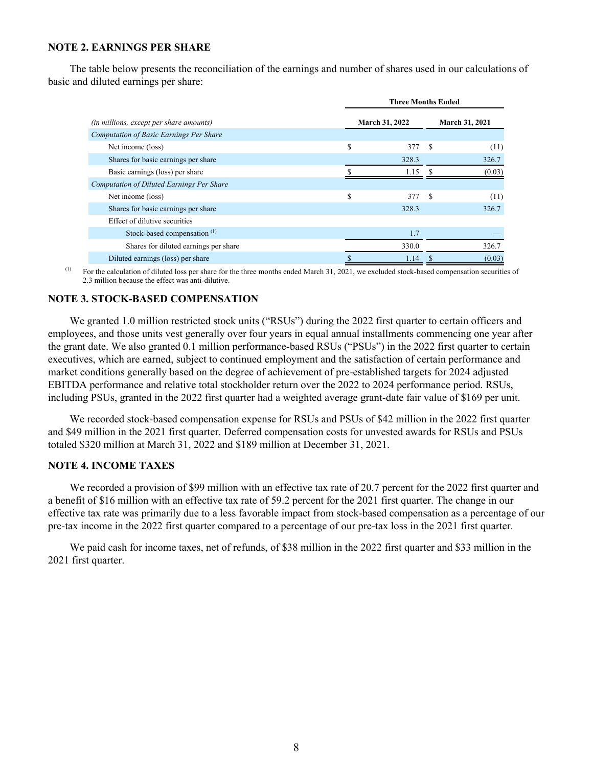## **NOTE 2. EARNINGS PER SHARE**

The table below presents the reconciliation of the earnings and number of shares used in our calculations of basic and diluted earnings per share:

|                                                  |    | <b>Three Months Ended</b> |    |                |
|--------------------------------------------------|----|---------------------------|----|----------------|
| <i>(in millions, except per share amounts)</i>   |    | <b>March 31, 2022</b>     |    | March 31, 2021 |
| <b>Computation of Basic Earnings Per Share</b>   |    |                           |    |                |
| Net income (loss)                                | \$ | 377                       | -S | (11)           |
| Shares for basic earnings per share              |    | 328.3                     |    | 326.7          |
| Basic earnings (loss) per share                  |    | 1.15                      |    | (0.03)         |
| <b>Computation of Diluted Earnings Per Share</b> |    |                           |    |                |
| Net income (loss)                                | S  | 377                       | S  | (11)           |
| Shares for basic earnings per share              |    | 328.3                     |    | 326.7          |
| Effect of dilutive securities                    |    |                           |    |                |
| Stock-based compensation <sup>(1)</sup>          |    | 1.7                       |    |                |
| Shares for diluted earnings per share            |    | 330.0                     |    | 326.7          |
| Diluted earnings (loss) per share                |    | 1.14                      |    | (0.03)         |

(1) For the calculation of diluted loss per share for the three months ended March 31, 2021, we excluded stock-based compensation securities of 2.3 million because the effect was anti-dilutive.

#### **NOTE 3. STOCK-BASED COMPENSATION**

We granted 1.0 million restricted stock units ("RSUs") during the 2022 first quarter to certain officers and employees, and those units vest generally over four years in equal annual installments commencing one year after the grant date. We also granted 0.1 million performance-based RSUs ("PSUs") in the 2022 first quarter to certain executives, which are earned, subject to continued employment and the satisfaction of certain performance and market conditions generally based on the degree of achievement of pre-established targets for 2024 adjusted EBITDA performance and relative total stockholder return over the 2022 to 2024 performance period. RSUs, including PSUs, granted in the 2022 first quarter had a weighted average grant-date fair value of \$169 per unit.

We recorded stock-based compensation expense for RSUs and PSUs of \$42 million in the 2022 first quarter and \$49 million in the 2021 first quarter. Deferred compensation costs for unvested awards for RSUs and PSUs totaled \$320 million at March 31, 2022 and \$189 million at December 31, 2021.

#### **NOTE 4. INCOME TAXES**

We recorded a provision of \$99 million with an effective tax rate of 20.7 percent for the 2022 first quarter and a benefit of \$16 million with an effective tax rate of 59.2 percent for the 2021 first quarter. The change in our effective tax rate was primarily due to a less favorable impact from stock-based compensation as a percentage of our pre-tax income in the 2022 first quarter compared to a percentage of our pre-tax loss in the 2021 first quarter.

We paid cash for income taxes, net of refunds, of \$38 million in the 2022 first quarter and \$33 million in the 2021 first quarter.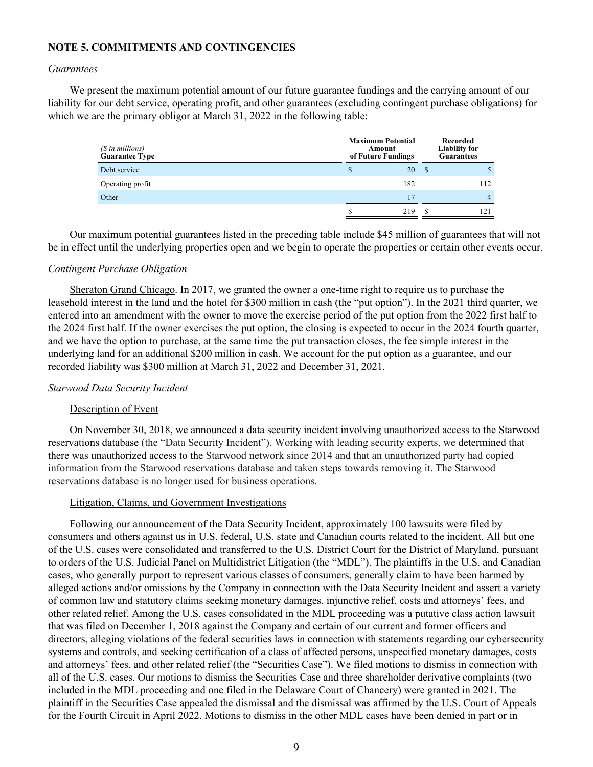## **NOTE 5. COMMITMENTS AND CONTINGENCIES**

#### *Guarantees*

We present the maximum potential amount of our future guarantee fundings and the carrying amount of our liability for our debt service, operating profit, and other guarantees (excluding contingent purchase obligations) for which we are the primary obligor at March 31, 2022 in the following table:

| $(S \in \mathbb{N})$ in millions)<br><b>Guarantee Type</b> | <b>Maximum Potential</b><br>Amount<br>of Future Fundings |     |    | Recorded<br><b>Liability for</b><br><b>Guarantees</b> |
|------------------------------------------------------------|----------------------------------------------------------|-----|----|-------------------------------------------------------|
| Debt service                                               |                                                          | 20  | -S |                                                       |
| Operating profit                                           |                                                          | 182 |    | 112                                                   |
| Other                                                      |                                                          | 17  |    | 4                                                     |
|                                                            |                                                          | 219 |    |                                                       |

Our maximum potential guarantees listed in the preceding table include \$45 million of guarantees that will not be in effect until the underlying properties open and we begin to operate the properties or certain other events occur.

#### *Contingent Purchase Obligation*

Sheraton Grand Chicago. In 2017, we granted the owner a one-time right to require us to purchase the leasehold interest in the land and the hotel for \$300 million in cash (the "put option"). In the 2021 third quarter, we entered into an amendment with the owner to move the exercise period of the put option from the 2022 first half to the 2024 first half. If the owner exercises the put option, the closing is expected to occur in the 2024 fourth quarter, and we have the option to purchase, at the same time the put transaction closes, the fee simple interest in the underlying land for an additional \$200 million in cash. We account for the put option as a guarantee, and our recorded liability was \$300 million at March 31, 2022 and December 31, 2021.

## *Starwood Data Security Incident*

## Description of Event

On November 30, 2018, we announced a data security incident involving unauthorized access to the Starwood reservations database (the "Data Security Incident"). Working with leading security experts, we determined that there was unauthorized access to the Starwood network since 2014 and that an unauthorized party had copied information from the Starwood reservations database and taken steps towards removing it. The Starwood reservations database is no longer used for business operations.

## Litigation, Claims, and Government Investigations

Following our announcement of the Data Security Incident, approximately 100 lawsuits were filed by consumers and others against us in U.S. federal, U.S. state and Canadian courts related to the incident. All but one of the U.S. cases were consolidated and transferred to the U.S. District Court for the District of Maryland, pursuant to orders of the U.S. Judicial Panel on Multidistrict Litigation (the "MDL"). The plaintiffs in the U.S. and Canadian cases, who generally purport to represent various classes of consumers, generally claim to have been harmed by alleged actions and/or omissions by the Company in connection with the Data Security Incident and assert a variety of common law and statutory claims seeking monetary damages, injunctive relief, costs and attorneys' fees, and other related relief. Among the U.S. cases consolidated in the MDL proceeding was a putative class action lawsuit that was filed on December 1, 2018 against the Company and certain of our current and former officers and directors, alleging violations of the federal securities laws in connection with statements regarding our cybersecurity systems and controls, and seeking certification of a class of affected persons, unspecified monetary damages, costs and attorneys' fees, and other related relief (the "Securities Case"). We filed motions to dismiss in connection with all of the U.S. cases. Our motions to dismiss the Securities Case and three shareholder derivative complaints (two included in the MDL proceeding and one filed in the Delaware Court of Chancery) were granted in 2021. The plaintiff in the Securities Case appealed the dismissal and the dismissal was affirmed by the U.S. Court of Appeals for the Fourth Circuit in April 2022. Motions to dismiss in the other MDL cases have been denied in part or in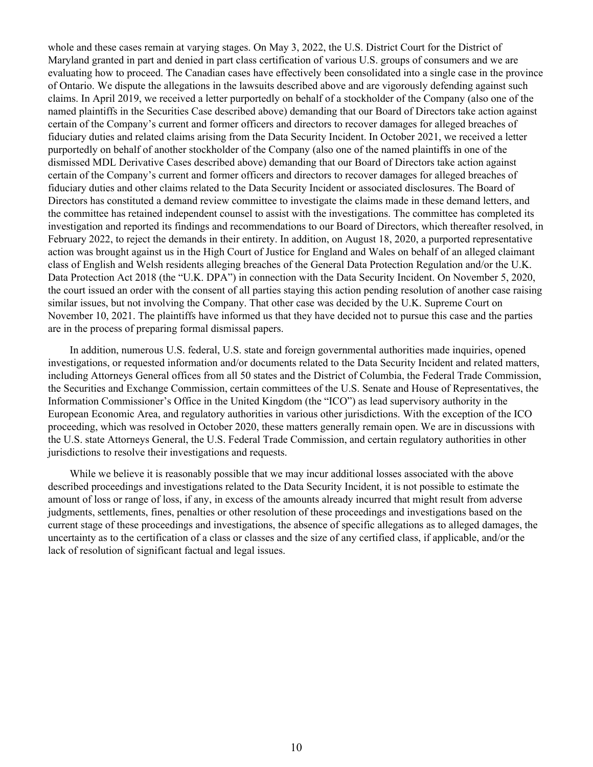whole and these cases remain at varying stages. On May 3, 2022, the U.S. District Court for the District of Maryland granted in part and denied in part class certification of various U.S. groups of consumers and we are evaluating how to proceed. The Canadian cases have effectively been consolidated into a single case in the province of Ontario. We dispute the allegations in the lawsuits described above and are vigorously defending against such claims. In April 2019, we received a letter purportedly on behalf of a stockholder of the Company (also one of the named plaintiffs in the Securities Case described above) demanding that our Board of Directors take action against certain of the Company's current and former officers and directors to recover damages for alleged breaches of fiduciary duties and related claims arising from the Data Security Incident. In October 2021, we received a letter purportedly on behalf of another stockholder of the Company (also one of the named plaintiffs in one of the dismissed MDL Derivative Cases described above) demanding that our Board of Directors take action against certain of the Company's current and former officers and directors to recover damages for alleged breaches of fiduciary duties and other claims related to the Data Security Incident or associated disclosures. The Board of Directors has constituted a demand review committee to investigate the claims made in these demand letters, and the committee has retained independent counsel to assist with the investigations. The committee has completed its investigation and reported its findings and recommendations to our Board of Directors, which thereafter resolved, in February 2022, to reject the demands in their entirety. In addition, on August 18, 2020, a purported representative action was brought against us in the High Court of Justice for England and Wales on behalf of an alleged claimant class of English and Welsh residents alleging breaches of the General Data Protection Regulation and/or the U.K. Data Protection Act 2018 (the "U.K. DPA") in connection with the Data Security Incident. On November 5, 2020, the court issued an order with the consent of all parties staying this action pending resolution of another case raising similar issues, but not involving the Company. That other case was decided by the U.K. Supreme Court on November 10, 2021. The plaintiffs have informed us that they have decided not to pursue this case and the parties are in the process of preparing formal dismissal papers.

In addition, numerous U.S. federal, U.S. state and foreign governmental authorities made inquiries, opened investigations, or requested information and/or documents related to the Data Security Incident and related matters, including Attorneys General offices from all 50 states and the District of Columbia, the Federal Trade Commission, the Securities and Exchange Commission, certain committees of the U.S. Senate and House of Representatives, the Information Commissioner's Office in the United Kingdom (the "ICO") as lead supervisory authority in the European Economic Area, and regulatory authorities in various other jurisdictions. With the exception of the ICO proceeding, which was resolved in October 2020, these matters generally remain open. We are in discussions with the U.S. state Attorneys General, the U.S. Federal Trade Commission, and certain regulatory authorities in other jurisdictions to resolve their investigations and requests.

While we believe it is reasonably possible that we may incur additional losses associated with the above described proceedings and investigations related to the Data Security Incident, it is not possible to estimate the amount of loss or range of loss, if any, in excess of the amounts already incurred that might result from adverse judgments, settlements, fines, penalties or other resolution of these proceedings and investigations based on the current stage of these proceedings and investigations, the absence of specific allegations as to alleged damages, the uncertainty as to the certification of a class or classes and the size of any certified class, if applicable, and/or the lack of resolution of significant factual and legal issues.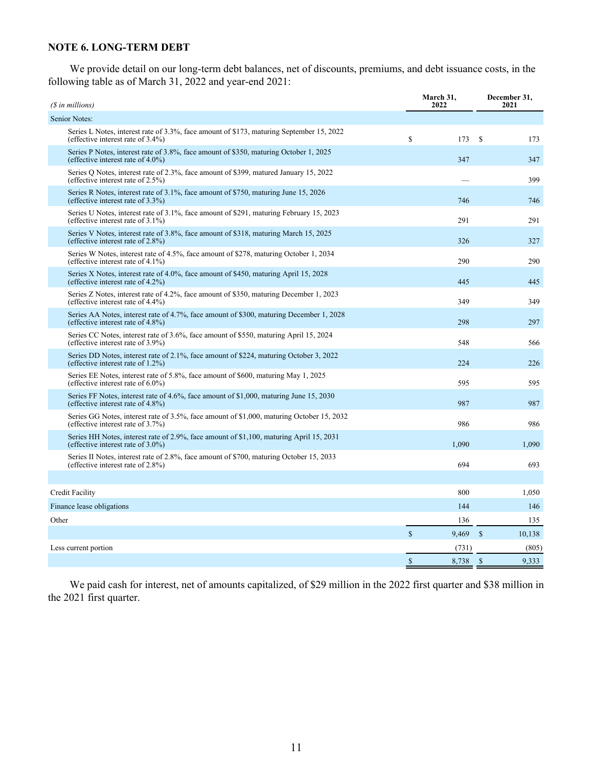### **NOTE 6. LONG-TERM DEBT**

We provide detail on our long-term debt balances, net of discounts, premiums, and debt issuance costs, in the following table as of March 31, 2022 and year-end 2021:

| (\$ in millions)                                                                                                                  | March 31,<br>2022           | December 31,<br>2021    |
|-----------------------------------------------------------------------------------------------------------------------------------|-----------------------------|-------------------------|
| Senior Notes:                                                                                                                     |                             |                         |
| Series L Notes, interest rate of 3.3%, face amount of \$173, maturing September 15, 2022<br>(effective interest rate of $3.4\%$ ) | \$<br>173                   | <sup>\$</sup><br>173    |
| Series P Notes, interest rate of 3.8%, face amount of \$350, maturing October 1, 2025<br>(effective interest rate of $4.0\%$ )    | 347                         | 347                     |
| Series Q Notes, interest rate of 2.3%, face amount of \$399, matured January 15, 2022<br>(effective interest rate of $2.5\%$ )    |                             | 399                     |
| Series R Notes, interest rate of 3.1%, face amount of \$750, maturing June 15, 2026<br>(effective interest rate of 3.3%)          | 746                         | 746                     |
| Series U Notes, interest rate of 3.1%, face amount of \$291, maturing February 15, 2023<br>(effective interest rate of $3.1\%$ )  | 291                         | 291                     |
| Series V Notes, interest rate of 3.8%, face amount of \$318, maturing March 15, 2025<br>(effective interest rate of $2.8\%$ )     | 326                         | 327                     |
| Series W Notes, interest rate of 4.5%, face amount of \$278, maturing October 1, 2034<br>(effective interest rate of $4.1\%$ )    | 290                         | 290                     |
| Series X Notes, interest rate of 4.0%, face amount of \$450, maturing April 15, 2028<br>(effective interest rate of $4.2\%$ )     | 445                         | 445                     |
| Series Z Notes, interest rate of 4.2%, face amount of \$350, maturing December 1, 2023<br>(effective interest rate of $4.4\%$ )   | 349                         | 349                     |
| Series AA Notes, interest rate of 4.7%, face amount of \$300, maturing December 1, 2028<br>(effective interest rate of 4.8%)      | 298                         | 297                     |
| Series CC Notes, interest rate of 3.6%, face amount of \$550, maturing April 15, 2024<br>(effective interest rate of 3.9%)        | 548                         | 566                     |
| Series DD Notes, interest rate of 2.1%, face amount of \$224, maturing October 3, 2022<br>(effective interest rate of $1.2\%$ )   | 224                         | 226                     |
| Series EE Notes, interest rate of 5.8%, face amount of \$600, maturing May 1, 2025<br>(effective interest rate of $6.0\%$ )       | 595                         | 595                     |
| Series FF Notes, interest rate of 4.6%, face amount of \$1,000, maturing June 15, 2030<br>(effective interest rate of $4.8\%$ )   | 987                         | 987                     |
| Series GG Notes, interest rate of 3.5%, face amount of \$1,000, maturing October 15, 2032<br>(effective interest rate of 3.7%)    | 986                         | 986                     |
| Series HH Notes, interest rate of 2.9%, face amount of \$1,100, maturing April 15, 2031<br>(effective interest rate of $3.0\%$ )  | 1,090                       | 1,090                   |
| Series II Notes, interest rate of 2.8%, face amount of \$700, maturing October 15, 2033<br>(effective interest rate of 2.8%)      | 694                         | 693                     |
|                                                                                                                                   |                             |                         |
| Credit Facility                                                                                                                   | 800                         | 1,050                   |
| Finance lease obligations                                                                                                         | 144                         | 146                     |
| Other                                                                                                                             | 136                         | 135                     |
|                                                                                                                                   | $\mathbf{\hat{s}}$<br>9,469 | $\mathcal{S}$<br>10,138 |
| Less current portion                                                                                                              | (731)                       | (805)                   |
|                                                                                                                                   | $\mathcal{S}$<br>8,738      | $\mathbb{S}$<br>9,333   |

We paid cash for interest, net of amounts capitalized, of \$29 million in the 2022 first quarter and \$38 million in the 2021 first quarter.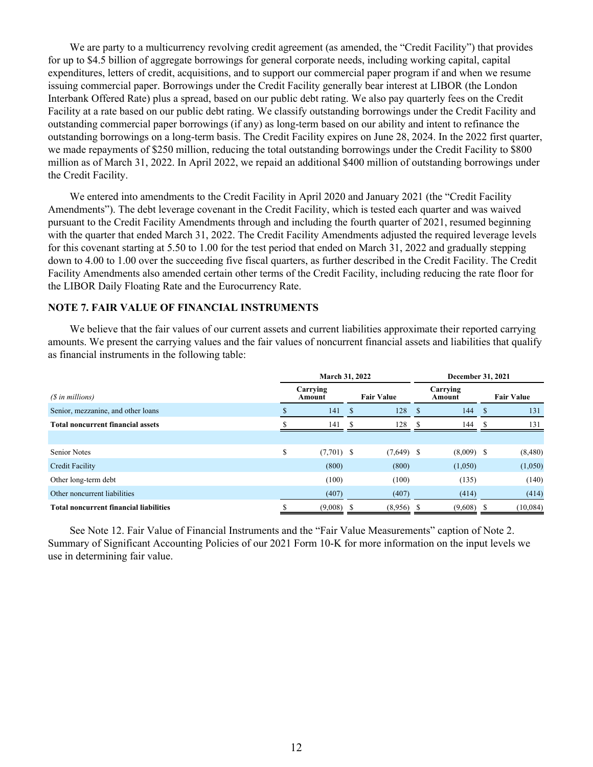We are party to a multicurrency revolving credit agreement (as amended, the "Credit Facility") that provides for up to \$4.5 billion of aggregate borrowings for general corporate needs, including working capital, capital expenditures, letters of credit, acquisitions, and to support our commercial paper program if and when we resume issuing commercial paper. Borrowings under the Credit Facility generally bear interest at LIBOR (the London Interbank Offered Rate) plus a spread, based on our public debt rating. We also pay quarterly fees on the Credit Facility at a rate based on our public debt rating. We classify outstanding borrowings under the Credit Facility and outstanding commercial paper borrowings (if any) as long-term based on our ability and intent to refinance the outstanding borrowings on a long-term basis. The Credit Facility expires on June 28, 2024. In the 2022 first quarter, we made repayments of \$250 million, reducing the total outstanding borrowings under the Credit Facility to \$800 million as of March 31, 2022. In April 2022, we repaid an additional \$400 million of outstanding borrowings under the Credit Facility.

We entered into amendments to the Credit Facility in April 2020 and January 2021 (the "Credit Facility Amendments"). The debt leverage covenant in the Credit Facility, which is tested each quarter and was waived pursuant to the Credit Facility Amendments through and including the fourth quarter of 2021, resumed beginning with the quarter that ended March 31, 2022. The Credit Facility Amendments adjusted the required leverage levels for this covenant starting at 5.50 to 1.00 for the test period that ended on March 31, 2022 and gradually stepping down to 4.00 to 1.00 over the succeeding five fiscal quarters, as further described in the Credit Facility. The Credit Facility Amendments also amended certain other terms of the Credit Facility, including reducing the rate floor for the LIBOR Daily Floating Rate and the Eurocurrency Rate.

#### **NOTE 7. FAIR VALUE OF FINANCIAL INSTRUMENTS**

We believe that the fair values of our current assets and current liabilities approximate their reported carrying amounts. We present the carrying values and the fair values of noncurrent financial assets and liabilities that qualify as financial instruments in the following table:

| March 31, 2022                                |    |                    |    |                   | December 31, 2021 |                    |            |                   |
|-----------------------------------------------|----|--------------------|----|-------------------|-------------------|--------------------|------------|-------------------|
| $(S \in \mathbb{N})$ in millions)             |    | Carrying<br>Amount |    | <b>Fair Value</b> |                   | Carrying<br>Amount |            | <b>Fair Value</b> |
| Senior, mezzanine, and other loans            |    | 141                | -S | 128               | - \$              | 144                | $\sqrt{s}$ | 131               |
| <b>Total noncurrent financial assets</b>      |    | 141                | S. | 128               | -S                | 144                | -8         | 131               |
|                                               |    |                    |    |                   |                   |                    |            |                   |
| <b>Senior Notes</b>                           | \$ | $(7,701)$ \$       |    | $(7,649)$ \$      |                   | $(8,009)$ \$       |            | (8,480)           |
| Credit Facility                               |    | (800)              |    | (800)             |                   | (1,050)            |            | (1,050)           |
| Other long-term debt                          |    | (100)              |    | (100)             |                   | (135)              |            | (140)             |
| Other noncurrent liabilities                  |    | (407)              |    | (407)             |                   | (414)              |            | (414)             |
| <b>Total noncurrent financial liabilities</b> |    | (9,008)            |    | $(8,956)$ \$      |                   | $(9,608)$ \$       |            | (10,084)          |

See Note 12. Fair Value of Financial Instruments and the "Fair Value Measurements" caption of Note 2. Summary of Significant Accounting Policies of our 2021 Form 10-K for more information on the input levels we use in determining fair value.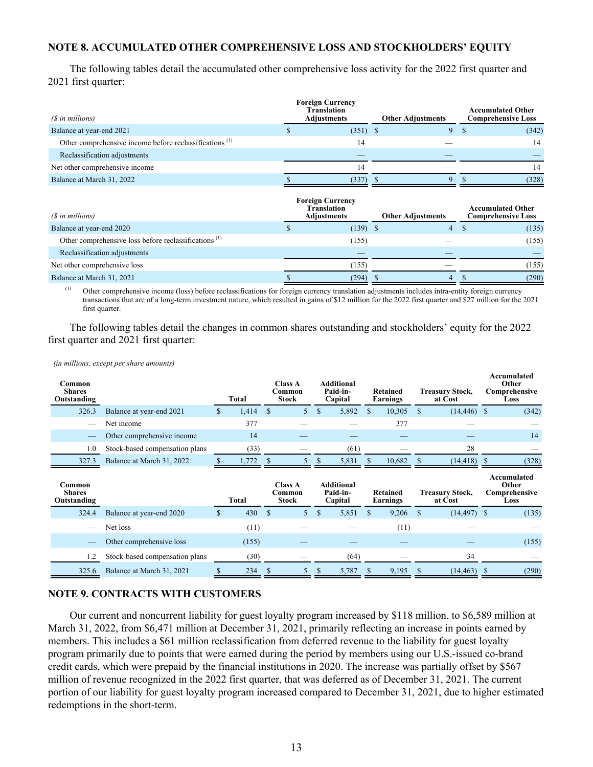### **NOTE 8. ACCUMULATED OTHER COMPREHENSIVE LOSS AND STOCKHOLDERS' EQUITY**

The following tables detail the accumulated other comprehensive loss activity for the 2022 first quarter and 2021 first quarter:

| (\$ in millions)                                                   | <b>Foreign Currency</b><br><b>Translation</b><br><b>Adjustments</b> | <b>Other Adjustments</b> | <b>Accumulated Other</b><br><b>Comprehensive Loss</b> |
|--------------------------------------------------------------------|---------------------------------------------------------------------|--------------------------|-------------------------------------------------------|
| Balance at year-end 2021                                           | $(351)$ \$                                                          |                          | (342)                                                 |
| Other comprehensive income before reclassifications <sup>(1)</sup> |                                                                     |                          | 14                                                    |
| Reclassification adjustments                                       |                                                                     |                          |                                                       |
| Net other comprehensive income                                     | 14                                                                  |                          |                                                       |
| Balance at March 31, 2022                                          | (337)                                                               |                          | (328)                                                 |

| (\$ in millions)                                                 | <b>Foreign Currency</b><br><b>Translation</b><br><b>Adjustments</b> | <b>Other Adjustments</b> | <b>Accumulated Other</b><br><b>Comprehensive Loss</b> |
|------------------------------------------------------------------|---------------------------------------------------------------------|--------------------------|-------------------------------------------------------|
| Balance at year-end 2020                                         | $(139)$ \$                                                          | 4                        | (135)                                                 |
| Other comprehensive loss before reclassifications <sup>(1)</sup> | (155)                                                               |                          | (155)                                                 |
| Reclassification adjustments                                     |                                                                     |                          |                                                       |
| Net other comprehensive loss                                     | (155)                                                               |                          | (155)                                                 |
| Balance at March 31, 2021                                        | (294)                                                               | 4                        | (290)                                                 |

<sup>(1)</sup> Other comprehensive income (loss) before reclassifications for foreign currency translation adjustments includes intra-entity foreign currency transactions that are of a long-term investment nature, which resulted in gains of \$12 million for the 2022 first quarter and \$27 million for the 2021 first quarter.

The following tables detail the changes in common shares outstanding and stockholders' equity for the 2022 first quarter and 2021 first quarter:

*(in millions, except per share amounts)*

| Common<br><b>Shares</b><br>Outstanding |                                |    | Total | <b>Class A</b><br>Common<br><b>Stock</b> |               | <b>Additional</b><br>Paid-in-<br>Capital |   | Retained<br>Earnings        |   | Treasury Stock,<br>at Cost        | Accumulated<br>Other<br>Comprehensive<br>Loss |
|----------------------------------------|--------------------------------|----|-------|------------------------------------------|---------------|------------------------------------------|---|-----------------------------|---|-----------------------------------|-----------------------------------------------|
| 326.3                                  | Balance at year-end 2021       | S  | 1,414 | \$<br>5 <sup>5</sup>                     | <sup>\$</sup> | 5,892                                    | S | 10,305                      | S | $(14, 446)$ \$                    | (342)                                         |
|                                        | Net income                     |    | 377   |                                          |               |                                          |   | 377                         |   |                                   |                                               |
|                                        | Other comprehensive income     |    | 14    |                                          |               |                                          |   |                             |   |                                   | 14                                            |
| 1.0                                    | Stock-based compensation plans |    | (33)  |                                          |               | (61)                                     |   |                             |   | 28                                |                                               |
| 327.3                                  | Balance at March 31, 2022      |    | 1,772 |                                          |               | 5,831                                    |   | 10,682                      |   | $(14, 418)$ \$                    | (328)                                         |
|                                        |                                |    |       |                                          |               |                                          |   |                             |   |                                   |                                               |
| Common<br><b>Shares</b><br>Outstanding |                                |    | Total | <b>Class A</b><br>Common<br><b>Stock</b> |               | <b>Additional</b><br>Paid-in-<br>Capital |   | <b>Retained</b><br>Earnings |   | <b>Treasury Stock,</b><br>at Cost | Accumulated<br>Other<br>Comprehensive<br>Loss |
| 324.4                                  | Balance at year-end 2020       | S. | 430   | \$<br>5 <sup>5</sup>                     | \$            | 5,851                                    | S | 9,206                       | S | $(14, 497)$ \$                    | (135)                                         |
|                                        | Net loss                       |    | (11)  |                                          |               |                                          |   | (11)                        |   |                                   |                                               |
|                                        | Other comprehensive loss       |    | (155) |                                          |               |                                          |   |                             |   |                                   | (155)                                         |

#### **NOTE 9. CONTRACTS WITH CUSTOMERS**

Our current and noncurrent liability for guest loyalty program increased by \$118 million, to \$6,589 million at March 31, 2022, from \$6,471 million at December 31, 2021, primarily reflecting an increase in points earned by members. This includes a \$61 million reclassification from deferred revenue to the liability for guest loyalty program primarily due to points that were earned during the period by members using our U.S.-issued co-brand credit cards, which were prepaid by the financial institutions in 2020. The increase was partially offset by \$567 million of revenue recognized in the 2022 first quarter, that was deferred as of December 31, 2021. The current portion of our liability for guest loyalty program increased compared to December 31, 2021, due to higher estimated redemptions in the short-term.

325.6 Balance at March 31, 2021 \$ 234 \$ 5 \$ 5,787 \$ 9,195 \$ (14,463) \$ (290)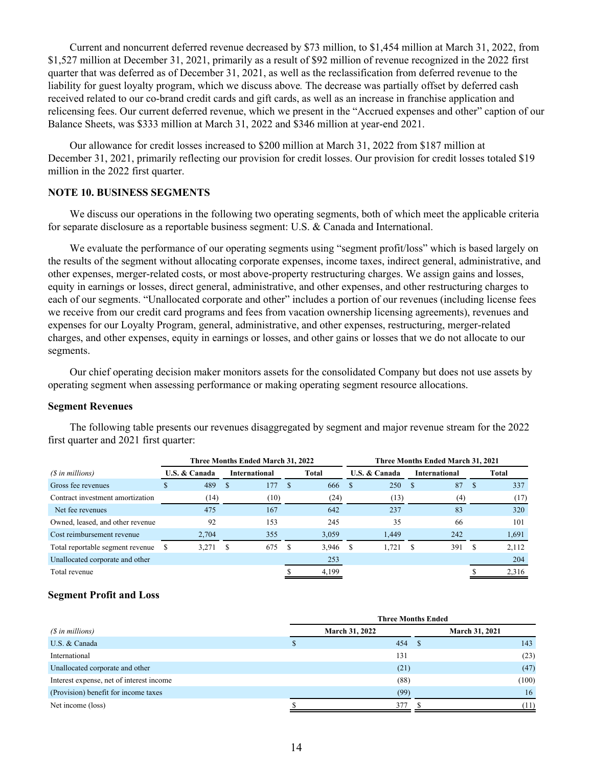Current and noncurrent deferred revenue decreased by \$73 million, to \$1,454 million at March 31, 2022, from \$1,527 million at December 31, 2021, primarily as a result of \$92 million of revenue recognized in the 2022 first quarter that was deferred as of December 31, 2021, as well as the reclassification from deferred revenue to the liability for guest loyalty program, which we discuss above*.* The decrease was partially offset by deferred cash received related to our co-brand credit cards and gift cards, as well as an increase in franchise application and relicensing fees. Our current deferred revenue, which we present in the "Accrued expenses and other" caption of our Balance Sheets, was \$333 million at March 31, 2022 and \$346 million at year-end 2021.

Our allowance for credit losses increased to \$200 million at March 31, 2022 from \$187 million at December 31, 2021, primarily reflecting our provision for credit losses. Our provision for credit losses totaled \$19 million in the 2022 first quarter.

## **NOTE 10. BUSINESS SEGMENTS**

We discuss our operations in the following two operating segments, both of which meet the applicable criteria for separate disclosure as a reportable business segment: U.S. & Canada and International.

We evaluate the performance of our operating segments using "segment profit/loss" which is based largely on the results of the segment without allocating corporate expenses, income taxes, indirect general, administrative, and other expenses, merger-related costs, or most above-property restructuring charges. We assign gains and losses, equity in earnings or losses, direct general, administrative, and other expenses, and other restructuring charges to each of our segments. "Unallocated corporate and other" includes a portion of our revenues (including license fees we receive from our credit card programs and fees from vacation ownership licensing agreements), revenues and expenses for our Loyalty Program, general, administrative, and other expenses, restructuring, merger-related charges, and other expenses, equity in earnings or losses, and other gains or losses that we do not allocate to our segments.

Our chief operating decision maker monitors assets for the consolidated Company but does not use assets by operating segment when assessing performance or making operating segment resource allocations.

#### **Segment Revenues**

The following table presents our revenues disaggregated by segment and major revenue stream for the 2022 first quarter and 2021 first quarter:

|                                  |                                       | Three Months Ended March 31, 2022 |            | <b>Three Months Ended March 31, 2021</b> |                      |             |  |  |  |  |
|----------------------------------|---------------------------------------|-----------------------------------|------------|------------------------------------------|----------------------|-------------|--|--|--|--|
| (\$ in millions)                 | U.S. & Canada<br><b>International</b> |                                   | Total      | U.S. & Canada                            | <b>International</b> | Total       |  |  |  |  |
| Gross fee revenues               | 489                                   | 177<br>- S                        | 666<br>S   | 250<br><b>S</b>                          | 87<br>- \$           | 337<br>-S   |  |  |  |  |
| Contract investment amortization | (14)                                  | (10)                              | (24)       | (13)                                     | (4)                  | (17)        |  |  |  |  |
| Net fee revenues                 | 475                                   | 167                               | 642        | 237                                      | 83                   | 320         |  |  |  |  |
| Owned, leased, and other revenue | 92                                    | 153                               | 245        | 35                                       | 66                   | 101         |  |  |  |  |
| Cost reimbursement revenue       | 2,704                                 | 355                               | 3,059      | 1.449                                    | 242                  | 1,691       |  |  |  |  |
| Total reportable segment revenue | 3,271<br>S                            | 675<br>-S                         | 3,946<br>S | 1,721<br>S                               | 391                  | 2,112<br>-8 |  |  |  |  |
| Unallocated corporate and other  |                                       |                                   | 253        |                                          |                      | 204         |  |  |  |  |
| Total revenue                    |                                       |                                   | 4,199      |                                          |                      | 2,316       |  |  |  |  |

#### **Segment Profit and Loss**

|                                          | <b>Three Months Ended</b>                      |       |  |  |  |  |  |  |  |
|------------------------------------------|------------------------------------------------|-------|--|--|--|--|--|--|--|
| (\$ in millions)                         | <b>March 31, 2022</b><br><b>March 31, 2021</b> |       |  |  |  |  |  |  |  |
| U.S. & Canada                            | 454 \$                                         | 143   |  |  |  |  |  |  |  |
| International                            | 131                                            | (23)  |  |  |  |  |  |  |  |
| Unallocated corporate and other          | (21)                                           | (47)  |  |  |  |  |  |  |  |
| Interest expense, net of interest income | (88)                                           | (100) |  |  |  |  |  |  |  |
| (Provision) benefit for income taxes     | (99)                                           | 16    |  |  |  |  |  |  |  |
| Net income (loss)                        | 377                                            | (11)  |  |  |  |  |  |  |  |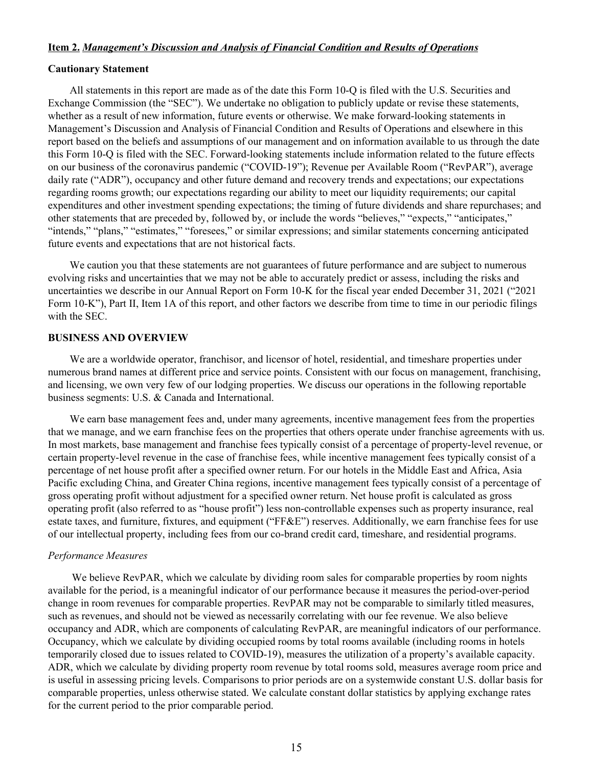#### **Item 2.** *Management's Discussion and Analysis of Financial Condition and Results of Operations*

#### **Cautionary Statement**

All statements in this report are made as of the date this Form 10-Q is filed with the U.S. Securities and Exchange Commission (the "SEC"). We undertake no obligation to publicly update or revise these statements, whether as a result of new information, future events or otherwise. We make forward-looking statements in Management's Discussion and Analysis of Financial Condition and Results of Operations and elsewhere in this report based on the beliefs and assumptions of our management and on information available to us through the date this Form 10-Q is filed with the SEC. Forward-looking statements include information related to the future effects on our business of the coronavirus pandemic ("COVID-19"); Revenue per Available Room ("RevPAR"), average daily rate ("ADR"), occupancy and other future demand and recovery trends and expectations; our expectations regarding rooms growth; our expectations regarding our ability to meet our liquidity requirements; our capital expenditures and other investment spending expectations; the timing of future dividends and share repurchases; and other statements that are preceded by, followed by, or include the words "believes," "expects," "anticipates," "intends," "plans," "estimates," "foresees," or similar expressions; and similar statements concerning anticipated future events and expectations that are not historical facts.

We caution you that these statements are not guarantees of future performance and are subject to numerous evolving risks and uncertainties that we may not be able to accurately predict or assess, including the risks and uncertainties we describe in our Annual Report on Form 10-K for the fiscal year ended December 31, 2021 ("2021 Form 10-K"), Part II, Item 1A of this report, and other factors we describe from time to time in our periodic filings with the SEC.

#### **BUSINESS AND OVERVIEW**

We are a worldwide operator, franchisor, and licensor of hotel, residential, and timeshare properties under numerous brand names at different price and service points. Consistent with our focus on management, franchising, and licensing, we own very few of our lodging properties. We discuss our operations in the following reportable business segments: U.S. & Canada and International.

We earn base management fees and, under many agreements, incentive management fees from the properties that we manage, and we earn franchise fees on the properties that others operate under franchise agreements with us. In most markets, base management and franchise fees typically consist of a percentage of property-level revenue, or certain property-level revenue in the case of franchise fees, while incentive management fees typically consist of a percentage of net house profit after a specified owner return. For our hotels in the Middle East and Africa, Asia Pacific excluding China, and Greater China regions, incentive management fees typically consist of a percentage of gross operating profit without adjustment for a specified owner return. Net house profit is calculated as gross operating profit (also referred to as "house profit") less non-controllable expenses such as property insurance, real estate taxes, and furniture, fixtures, and equipment ("FF&E") reserves. Additionally, we earn franchise fees for use of our intellectual property, including fees from our co-brand credit card, timeshare, and residential programs.

#### *Performance Measures*

We believe RevPAR, which we calculate by dividing room sales for comparable properties by room nights available for the period, is a meaningful indicator of our performance because it measures the period-over-period change in room revenues for comparable properties. RevPAR may not be comparable to similarly titled measures, such as revenues, and should not be viewed as necessarily correlating with our fee revenue. We also believe occupancy and ADR, which are components of calculating RevPAR, are meaningful indicators of our performance. Occupancy, which we calculate by dividing occupied rooms by total rooms available (including rooms in hotels temporarily closed due to issues related to COVID-19), measures the utilization of a property's available capacity. ADR, which we calculate by dividing property room revenue by total rooms sold, measures average room price and is useful in assessing pricing levels. Comparisons to prior periods are on a systemwide constant U.S. dollar basis for comparable properties, unless otherwise stated. We calculate constant dollar statistics by applying exchange rates for the current period to the prior comparable period.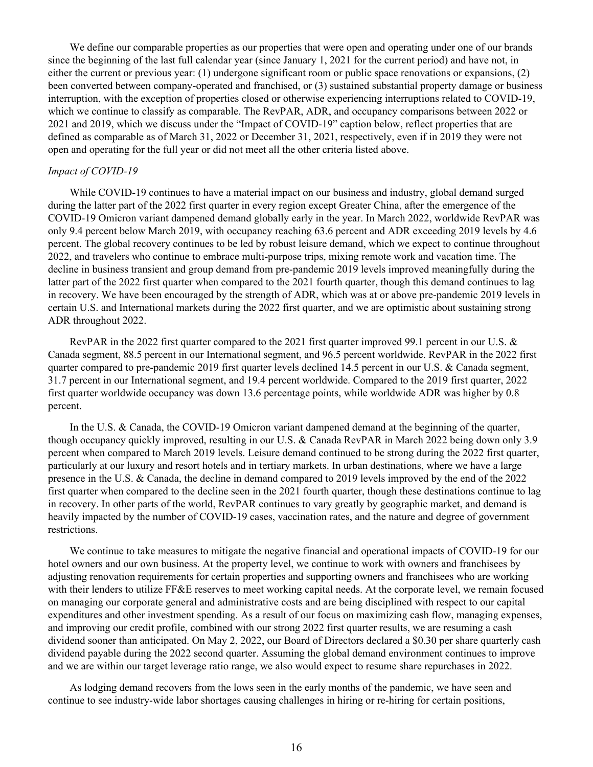We define our comparable properties as our properties that were open and operating under one of our brands since the beginning of the last full calendar year (since January 1, 2021 for the current period) and have not, in either the current or previous year: (1) undergone significant room or public space renovations or expansions, (2) been converted between company-operated and franchised, or (3) sustained substantial property damage or business interruption, with the exception of properties closed or otherwise experiencing interruptions related to COVID-19, which we continue to classify as comparable. The RevPAR, ADR, and occupancy comparisons between 2022 or 2021 and 2019, which we discuss under the "Impact of COVID-19" caption below, reflect properties that are defined as comparable as of March 31, 2022 or December 31, 2021, respectively, even if in 2019 they were not open and operating for the full year or did not meet all the other criteria listed above.

#### *Impact of COVID-19*

While COVID-19 continues to have a material impact on our business and industry, global demand surged during the latter part of the 2022 first quarter in every region except Greater China, after the emergence of the COVID-19 Omicron variant dampened demand globally early in the year. In March 2022, worldwide RevPAR was only 9.4 percent below March 2019, with occupancy reaching 63.6 percent and ADR exceeding 2019 levels by 4.6 percent. The global recovery continues to be led by robust leisure demand, which we expect to continue throughout 2022, and travelers who continue to embrace multi-purpose trips, mixing remote work and vacation time. The decline in business transient and group demand from pre-pandemic 2019 levels improved meaningfully during the latter part of the 2022 first quarter when compared to the 2021 fourth quarter, though this demand continues to lag in recovery. We have been encouraged by the strength of ADR, which was at or above pre-pandemic 2019 levels in certain U.S. and International markets during the 2022 first quarter, and we are optimistic about sustaining strong ADR throughout 2022.

RevPAR in the 2022 first quarter compared to the 2021 first quarter improved 99.1 percent in our U.S.  $\&$ Canada segment, 88.5 percent in our International segment, and 96.5 percent worldwide. RevPAR in the 2022 first quarter compared to pre-pandemic 2019 first quarter levels declined 14.5 percent in our U.S. & Canada segment, 31.7 percent in our International segment, and 19.4 percent worldwide. Compared to the 2019 first quarter, 2022 first quarter worldwide occupancy was down 13.6 percentage points, while worldwide ADR was higher by 0.8 percent.

In the U.S. & Canada, the COVID-19 Omicron variant dampened demand at the beginning of the quarter, though occupancy quickly improved, resulting in our U.S. & Canada RevPAR in March 2022 being down only 3.9 percent when compared to March 2019 levels. Leisure demand continued to be strong during the 2022 first quarter, particularly at our luxury and resort hotels and in tertiary markets. In urban destinations, where we have a large presence in the U.S. & Canada, the decline in demand compared to 2019 levels improved by the end of the 2022 first quarter when compared to the decline seen in the 2021 fourth quarter, though these destinations continue to lag in recovery. In other parts of the world, RevPAR continues to vary greatly by geographic market, and demand is heavily impacted by the number of COVID-19 cases, vaccination rates, and the nature and degree of government restrictions.

We continue to take measures to mitigate the negative financial and operational impacts of COVID-19 for our hotel owners and our own business. At the property level, we continue to work with owners and franchisees by adjusting renovation requirements for certain properties and supporting owners and franchisees who are working with their lenders to utilize FF&E reserves to meet working capital needs. At the corporate level, we remain focused on managing our corporate general and administrative costs and are being disciplined with respect to our capital expenditures and other investment spending. As a result of our focus on maximizing cash flow, managing expenses, and improving our credit profile, combined with our strong 2022 first quarter results, we are resuming a cash dividend sooner than anticipated. On May 2, 2022, our Board of Directors declared a \$0.30 per share quarterly cash dividend payable during the 2022 second quarter. Assuming the global demand environment continues to improve and we are within our target leverage ratio range, we also would expect to resume share repurchases in 2022.

As lodging demand recovers from the lows seen in the early months of the pandemic, we have seen and continue to see industry-wide labor shortages causing challenges in hiring or re-hiring for certain positions,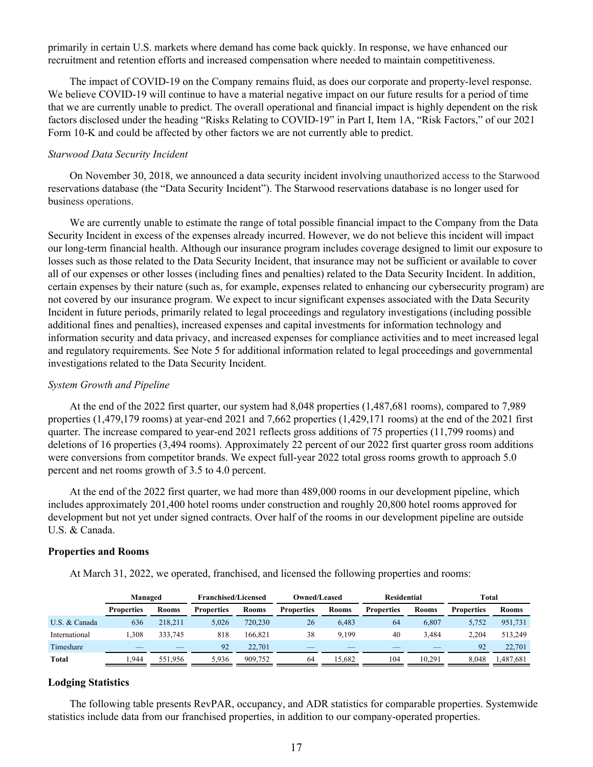primarily in certain U.S. markets where demand has come back quickly. In response, we have enhanced our recruitment and retention efforts and increased compensation where needed to maintain competitiveness.

The impact of COVID-19 on the Company remains fluid, as does our corporate and property-level response. We believe COVID-19 will continue to have a material negative impact on our future results for a period of time that we are currently unable to predict. The overall operational and financial impact is highly dependent on the risk factors disclosed under the heading "Risks Relating to COVID-19" in Part I, Item 1A, "Risk Factors," of our 2021 Form 10-K and could be affected by other factors we are not currently able to predict.

## *Starwood Data Security Incident*

On November 30, 2018, we announced a data security incident involving unauthorized access to the Starwood reservations database (the "Data Security Incident"). The Starwood reservations database is no longer used for business operations.

We are currently unable to estimate the range of total possible financial impact to the Company from the Data Security Incident in excess of the expenses already incurred. However, we do not believe this incident will impact our long-term financial health. Although our insurance program includes coverage designed to limit our exposure to losses such as those related to the Data Security Incident, that insurance may not be sufficient or available to cover all of our expenses or other losses (including fines and penalties) related to the Data Security Incident. In addition, certain expenses by their nature (such as, for example, expenses related to enhancing our cybersecurity program) are not covered by our insurance program. We expect to incur significant expenses associated with the Data Security Incident in future periods, primarily related to legal proceedings and regulatory investigations (including possible additional fines and penalties), increased expenses and capital investments for information technology and information security and data privacy, and increased expenses for compliance activities and to meet increased legal and regulatory requirements. See Note 5 for additional information related to legal proceedings and governmental investigations related to the Data Security Incident.

## *System Growth and Pipeline*

At the end of the 2022 first quarter, our system had 8,048 properties (1,487,681 rooms), compared to 7,989 properties (1,479,179 rooms) at year-end 2021 and 7,662 properties (1,429,171 rooms) at the end of the 2021 first quarter. The increase compared to year-end 2021 reflects gross additions of 75 properties (11,799 rooms) and deletions of 16 properties (3,494 rooms). Approximately 22 percent of our 2022 first quarter gross room additions were conversions from competitor brands. We expect full-year 2022 total gross rooms growth to approach 5.0 percent and net rooms growth of 3.5 to 4.0 percent.

At the end of the 2022 first quarter, we had more than 489,000 rooms in our development pipeline, which includes approximately 201,400 hotel rooms under construction and roughly 20,800 hotel rooms approved for development but not yet under signed contracts. Over half of the rooms in our development pipeline are outside U.S. & Canada.

## **Properties and Rooms**

At March 31, 2022, we operated, franchised, and licensed the following properties and rooms:

|               | Managed           |              | <b>Franchised/Licensed</b> |              | Owned/Leased      |              | <b>Residential</b> |              | Total             |              |
|---------------|-------------------|--------------|----------------------------|--------------|-------------------|--------------|--------------------|--------------|-------------------|--------------|
|               | <b>Properties</b> | <b>Rooms</b> | <b>Properties</b>          | <b>Rooms</b> | <b>Properties</b> | <b>Rooms</b> | <b>Properties</b>  | <b>Rooms</b> | <b>Properties</b> | <b>Rooms</b> |
| U.S. & Canada | 636               | 218.211      | 5,026                      | 720.230      | 26                | 6,483        | 64                 | 6,807        | 5,752             | 951,731      |
| International | .308              | 333.745      | 818                        | 166.821      | 38                | 9.199        | 40                 | 3.484        | 2,204             | 513,249      |
| Timeshare     |                   |              | 92                         | 22,701       |                   |              |                    |              | 92                | 22,701       |
| Total         | .944              | 551.956      | 5,936                      | 909.752      | 64                | 15.682       | 104                | 10.291       | 8.048             | .487,681     |

## **Lodging Statistics**

The following table presents RevPAR, occupancy, and ADR statistics for comparable properties. Systemwide statistics include data from our franchised properties, in addition to our company-operated properties.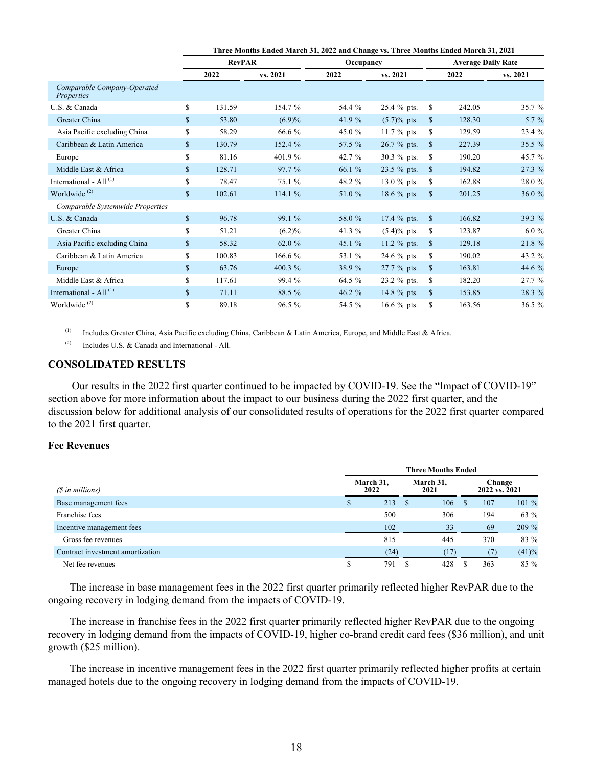|                                           |              | Three Months Ended March 31, 2022 and Change vs. Three Months Ended March 31, 2021 |           |           |                |               |                           |          |  |  |  |
|-------------------------------------------|--------------|------------------------------------------------------------------------------------|-----------|-----------|----------------|---------------|---------------------------|----------|--|--|--|
|                                           |              | <b>RevPAR</b>                                                                      |           | Occupancy |                |               | <b>Average Daily Rate</b> |          |  |  |  |
|                                           |              | 2022                                                                               | vs. 2021  | 2022      | vs. 2021       |               | 2022                      | vs. 2021 |  |  |  |
| Comparable Company-Operated<br>Properties |              |                                                                                    |           |           |                |               |                           |          |  |  |  |
| U.S. & Canada                             | \$           | 131.59                                                                             | 154.7 %   | 54.4 %    | 25.4 % pts.    | <sup>\$</sup> | 242.05                    | 35.7 %   |  |  |  |
| Greater China                             | \$           | 53.80                                                                              | (6.9)%    | 41.9 $%$  | $(5.7)$ % pts. | <sup>\$</sup> | 128.30                    | 5.7 %    |  |  |  |
| Asia Pacific excluding China              | \$           | 58.29                                                                              | 66.6 %    | 45.0 %    | 11.7 % pts.    | S             | 129.59                    | 23.4 %   |  |  |  |
| Caribbean & Latin America                 | \$           | 130.79                                                                             | 152.4 %   | 57.5 %    | 26.7 % pts.    | <sup>\$</sup> | 227.39                    | 35.5 %   |  |  |  |
| Europe                                    | \$           | 81.16                                                                              | 401.9%    | 42.7 %    | 30.3 % pts.    | S             | 190.20                    | 45.7 %   |  |  |  |
| Middle East & Africa                      | \$           | 128.71                                                                             | 97.7 %    | 66.1 %    | 23.5 % pts.    | <sup>\$</sup> | 194.82                    | 27.3 %   |  |  |  |
| International - All <sup>(1)</sup>        | \$           | 78.47                                                                              | 75.1 %    | 48.2 %    | 13.0 $%$ pts.  | S             | 162.88                    | 28.0 %   |  |  |  |
| Worldwide <sup>(2)</sup>                  | \$           | 102.61                                                                             | 114.1 %   | 51.0 %    | 18.6 % pts.    | <sup>\$</sup> | 201.25                    | 36.0%    |  |  |  |
| Comparable Systemwide Properties          |              |                                                                                    |           |           |                |               |                           |          |  |  |  |
| U.S. & Canada                             | $\mathbb{S}$ | 96.78                                                                              | 99.1 %    | 58.0 %    | 17.4 % pts.    | <sup>S</sup>  | 166.82                    | 39.3 %   |  |  |  |
| Greater China                             | \$           | 51.21                                                                              | $(6.2)\%$ | 41.3 %    | $(5.4)$ % pts. | S             | 123.87                    | $6.0 \%$ |  |  |  |
| Asia Pacific excluding China              | \$           | 58.32                                                                              | 62.0 %    | 45.1 %    | 11.2 $%$ pts.  | <sup>\$</sup> | 129.18                    | 21.8 %   |  |  |  |
| Caribbean & Latin America                 | \$           | 100.83                                                                             | 166.6 %   | 53.1 %    | 24.6 % pts.    | -S            | 190.02                    | 43.2 %   |  |  |  |
| Europe                                    | $\mathbb{S}$ | 63.76                                                                              | 400.3 %   | 38.9 %    | 27.7 % pts.    | $\mathbf S$   | 163.81                    | 44.6 %   |  |  |  |
| Middle East & Africa                      | \$           | 117.61                                                                             | 99.4 %    | 64.5 %    | 23.2 % pts.    | S             | 182.20                    | 27.7 %   |  |  |  |
| International - All <sup>(1)</sup>        | $\mathbb{S}$ | 71.11                                                                              | 88.5 %    | 46.2 %    | 14.8 % pts.    | <sup>\$</sup> | 153.85                    | 28.3 %   |  |  |  |
| Worldwide <sup>(2)</sup>                  | \$           | 89.18                                                                              | 96.5 %    | 54.5 %    | 16.6 % pts.    | \$            | 163.56                    | 36.5 %   |  |  |  |

(1) Includes Greater China, Asia Pacific excluding China, Caribbean & Latin America, Europe, and Middle East & Africa.

(2) Includes U.S.  $& Canada$  and International - All.

## **CONSOLIDATED RESULTS**

Our results in the 2022 first quarter continued to be impacted by COVID-19. See the "Impact of COVID-19" section above for more information about the impact to our business during the 2022 first quarter, and the discussion below for additional analysis of our consolidated results of operations for the 2022 first quarter compared to the 2021 first quarter.

#### **Fee Revenues**

|                                  | <b>Three Months Ended</b> |                   |                   |      |  |                         |         |  |  |  |  |
|----------------------------------|---------------------------|-------------------|-------------------|------|--|-------------------------|---------|--|--|--|--|
| (\$ in millions)                 |                           | March 31,<br>2022 | March 31,<br>2021 |      |  | Change<br>2022 vs. 2021 |         |  |  |  |  |
| Base management fees             |                           | 213               |                   | 106  |  | 107                     | $101\%$ |  |  |  |  |
| Franchise fees                   |                           | 500               |                   | 306  |  | 194                     | 63 %    |  |  |  |  |
| Incentive management fees        |                           | 102               |                   | 33   |  | 69                      | 209 %   |  |  |  |  |
| Gross fee revenues               |                           | 815               |                   | 445  |  | 370                     | 83 %    |  |  |  |  |
| Contract investment amortization |                           | (24)              |                   | (17) |  | (7)                     | (41)%   |  |  |  |  |
| Net fee revenues                 |                           | 791               |                   | 428  |  | 363                     | $85\%$  |  |  |  |  |

The increase in base management fees in the 2022 first quarter primarily reflected higher RevPAR due to the ongoing recovery in lodging demand from the impacts of COVID-19.

The increase in franchise fees in the 2022 first quarter primarily reflected higher RevPAR due to the ongoing recovery in lodging demand from the impacts of COVID-19, higher co-brand credit card fees (\$36 million), and unit growth (\$25 million).

The increase in incentive management fees in the 2022 first quarter primarily reflected higher profits at certain managed hotels due to the ongoing recovery in lodging demand from the impacts of COVID-19.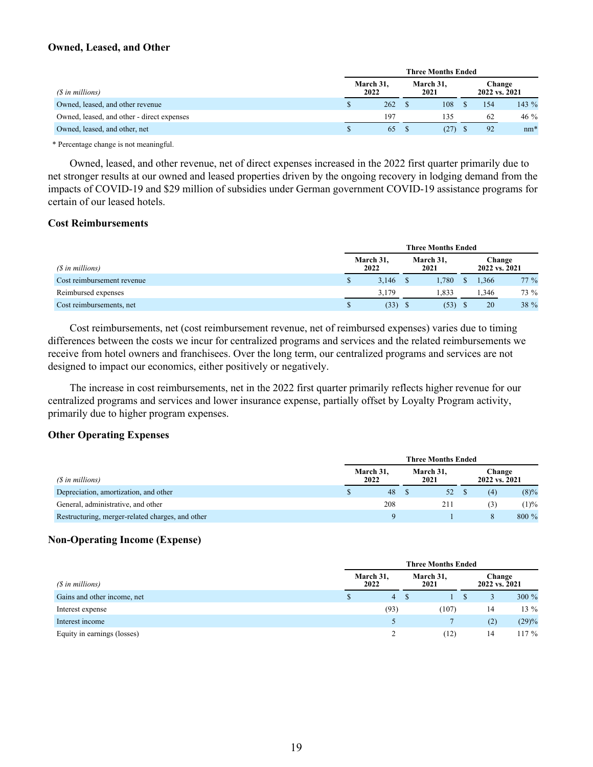## **Owned, Leased, and Other**

|                                            | <b>Three Months Ended</b> |     |                   |      |  |               |        |  |  |  |  |
|--------------------------------------------|---------------------------|-----|-------------------|------|--|---------------|--------|--|--|--|--|
| (\$ in millions)                           | March 31,<br>2022         |     | March 31,<br>2021 |      |  | 2022 vs. 2021 | Change |  |  |  |  |
| Owned, leased, and other revenue           |                           | 262 |                   | 108  |  | 154           | 143 %  |  |  |  |  |
| Owned, leased, and other - direct expenses |                           | 197 |                   | 135  |  | 62            | 46 %   |  |  |  |  |
| Owned, leased, and other, net              |                           | 65  |                   | (27) |  | 92            | $nm*$  |  |  |  |  |

\* Percentage change is not meaningful.

Owned, leased, and other revenue, net of direct expenses increased in the 2022 first quarter primarily due to net stronger results at our owned and leased properties driven by the ongoing recovery in lodging demand from the impacts of COVID-19 and \$29 million of subsidies under German government COVID-19 assistance programs for certain of our leased hotels.

## **Cost Reimbursements**

|                            | <b>Three Months Ended</b> |  |                   |  |                         |        |  |  |  |  |  |
|----------------------------|---------------------------|--|-------------------|--|-------------------------|--------|--|--|--|--|--|
| (\$ in millions)           | March 31,<br>2022         |  | March 31,<br>2021 |  | Change<br>2022 vs. 2021 |        |  |  |  |  |  |
| Cost reimbursement revenue | 3,146                     |  | 1.780             |  | 1,366                   | $77\%$ |  |  |  |  |  |
| Reimbursed expenses        | 3.179                     |  | 1.833             |  | 1,346                   | 73 %   |  |  |  |  |  |
| Cost reimbursements, net   | (33)                      |  | (53)              |  | 20                      | 38 %   |  |  |  |  |  |

Cost reimbursements, net (cost reimbursement revenue, net of reimbursed expenses) varies due to timing differences between the costs we incur for centralized programs and services and the related reimbursements we receive from hotel owners and franchisees. Over the long term, our centralized programs and services are not designed to impact our economics, either positively or negatively.

The increase in cost reimbursements, net in the 2022 first quarter primarily reflects higher revenue for our centralized programs and services and lower insurance expense, partially offset by Loyalty Program activity, primarily due to higher program expenses.

#### **Other Operating Expenses**

|                                                  | <b>Three Months Ended</b> |  |                   |  |                         |         |  |  |  |  |  |
|--------------------------------------------------|---------------------------|--|-------------------|--|-------------------------|---------|--|--|--|--|--|
| (\$ in millions)                                 | March 31,<br>2022         |  | March 31,<br>2021 |  | Change<br>2022 vs. 2021 |         |  |  |  |  |  |
| Depreciation, amortization, and other            | 48                        |  | 52                |  | (4)                     | $(8)\%$ |  |  |  |  |  |
| General, administrative, and other               | 208                       |  | 211               |  | (3)                     | (1)%    |  |  |  |  |  |
| Restructuring, merger-related charges, and other |                           |  |                   |  |                         | 800 %   |  |  |  |  |  |

## **Non-Operating Income (Expense)**

|                             | <b>Three Months Ended</b> |                   |               |        |  |  |  |  |  |  |
|-----------------------------|---------------------------|-------------------|---------------|--------|--|--|--|--|--|--|
| (\$ in millions)            | March 31,<br>2022         | March 31,<br>2021 | 2022 vs. 2021 | Change |  |  |  |  |  |  |
| Gains and other income, net | 4                         |                   |               | 300 %  |  |  |  |  |  |  |
| Interest expense            | (93)                      | (107)             | 14            | 13 %   |  |  |  |  |  |  |
| Interest income             |                           |                   | (2)           | (29)%  |  |  |  |  |  |  |
| Equity in earnings (losses) | $\mathcal{D}$             | (12)              | 14            | 17%    |  |  |  |  |  |  |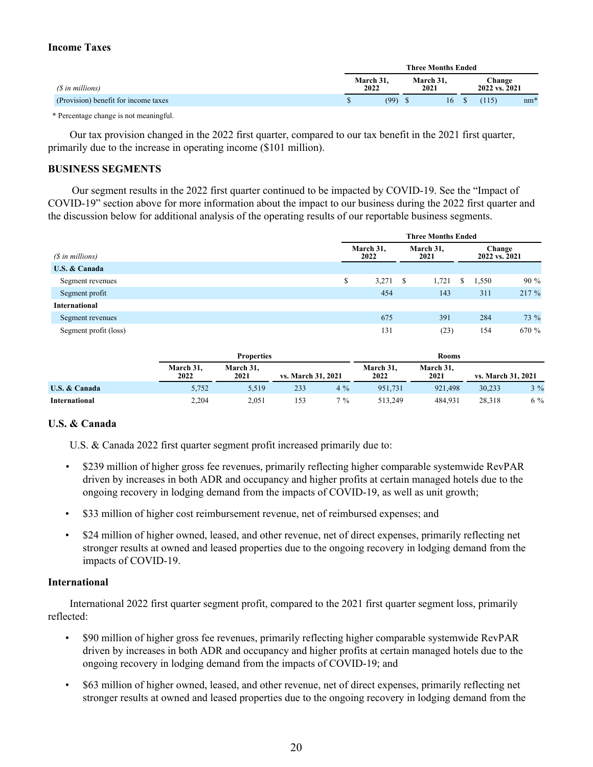## **Income Taxes**

|                                      |                   |  | <b>Three Months Ended</b> |                         |       |       |
|--------------------------------------|-------------------|--|---------------------------|-------------------------|-------|-------|
| (\$ in millions)                     | March 31.<br>2022 |  | March 31.<br>2021         | Change<br>2022 vs. 2021 |       |       |
| (Provision) benefit for income taxes | (99)              |  | 16                        | S.                      | (115) | $nm*$ |

\* Percentage change is not meaningful.

Our tax provision changed in the 2022 first quarter, compared to our tax benefit in the 2021 first quarter, primarily due to the increase in operating income (\$101 million).

#### **BUSINESS SEGMENTS**

Our segment results in the 2022 first quarter continued to be impacted by COVID-19. See the "Impact of COVID-19" section above for more information about the impact to our business during the 2022 first quarter and the discussion below for additional analysis of the operating results of our reportable business segments.

|                       | <b>Three Months Ended</b> |                   |     |                   |   |                         |        |
|-----------------------|---------------------------|-------------------|-----|-------------------|---|-------------------------|--------|
| (\$ in millions)      |                           | March 31,<br>2022 |     | March 31,<br>2021 |   | Change<br>2022 vs. 2021 |        |
| U.S. & Canada         |                           |                   |     |                   |   |                         |        |
| Segment revenues      | \$                        | 3,271             | - S | 1,721             | S | 1,550                   | $90\%$ |
| Segment profit        |                           | 454               |     | 143               |   | 311                     | 217 %  |
| International         |                           |                   |     |                   |   |                         |        |
| Segment revenues      |                           | 675               |     | 391               |   | 284                     | 73 %   |
| Segment profit (loss) |                           | 131               |     | (23)              |   | 154                     | 670 %  |

|               | <b>Properties</b> |                   |                    | <b>Rooms</b> |                   |                   |                    |       |
|---------------|-------------------|-------------------|--------------------|--------------|-------------------|-------------------|--------------------|-------|
|               | March 31,<br>2022 | March 31.<br>2021 | vs. March 31, 2021 |              | March 31,<br>2022 | March 31.<br>2021 | vs. March 31, 2021 |       |
| U.S. & Canada | 5,752             | 5,519             | 233                | $4\%$        | 951.731           | 921.498           | 30.233             | $3\%$ |
| International | 2,204             | 2.051             | 153                | $7\%$        | 513.249           | 484.931           | 28.318             | 6 %   |

## **U.S. & Canada**

U.S. & Canada 2022 first quarter segment profit increased primarily due to:

- *•* \$239 million of higher gross fee revenues, primarily reflecting higher comparable systemwide RevPAR driven by increases in both ADR and occupancy and higher profits at certain managed hotels due to the ongoing recovery in lodging demand from the impacts of COVID-19, as well as unit growth;
- \$33 million of higher cost reimbursement revenue, net of reimbursed expenses; and
- \$24 million of higher owned, leased, and other revenue, net of direct expenses, primarily reflecting net stronger results at owned and leased properties due to the ongoing recovery in lodging demand from the impacts of COVID-19.

## **International**

International 2022 first quarter segment profit, compared to the 2021 first quarter segment loss, primarily reflected:

- \$90 million of higher gross fee revenues, primarily reflecting higher comparable systemwide RevPAR driven by increases in both ADR and occupancy and higher profits at certain managed hotels due to the ongoing recovery in lodging demand from the impacts of COVID-19; and
- \$63 million of higher owned, leased, and other revenue, net of direct expenses, primarily reflecting net stronger results at owned and leased properties due to the ongoing recovery in lodging demand from the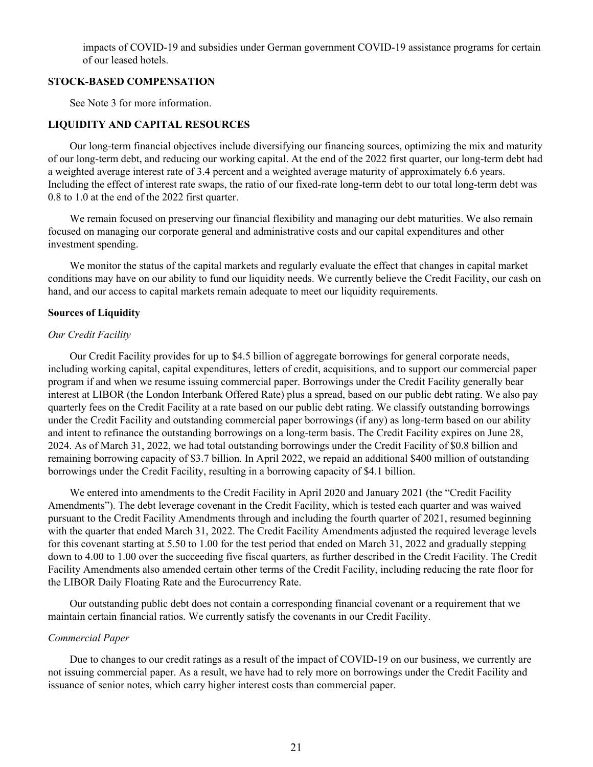impacts of COVID-19 and subsidies under German government COVID-19 assistance programs for certain of our leased hotels.

#### **STOCK-BASED COMPENSATION**

See Note 3 for more information.

## **LIQUIDITY AND CAPITAL RESOURCES**

Our long-term financial objectives include diversifying our financing sources, optimizing the mix and maturity of our long-term debt, and reducing our working capital. At the end of the 2022 first quarter, our long-term debt had a weighted average interest rate of 3.4 percent and a weighted average maturity of approximately 6.6 years. Including the effect of interest rate swaps, the ratio of our fixed-rate long-term debt to our total long-term debt was 0.8 to 1.0 at the end of the 2022 first quarter.

We remain focused on preserving our financial flexibility and managing our debt maturities. We also remain focused on managing our corporate general and administrative costs and our capital expenditures and other investment spending.

We monitor the status of the capital markets and regularly evaluate the effect that changes in capital market conditions may have on our ability to fund our liquidity needs. We currently believe the Credit Facility, our cash on hand, and our access to capital markets remain adequate to meet our liquidity requirements.

#### **Sources of Liquidity**

#### *Our Credit Facility*

Our Credit Facility provides for up to \$4.5 billion of aggregate borrowings for general corporate needs, including working capital, capital expenditures, letters of credit, acquisitions, and to support our commercial paper program if and when we resume issuing commercial paper. Borrowings under the Credit Facility generally bear interest at LIBOR (the London Interbank Offered Rate) plus a spread, based on our public debt rating. We also pay quarterly fees on the Credit Facility at a rate based on our public debt rating. We classify outstanding borrowings under the Credit Facility and outstanding commercial paper borrowings (if any) as long-term based on our ability and intent to refinance the outstanding borrowings on a long-term basis. The Credit Facility expires on June 28, 2024. As of March 31, 2022, we had total outstanding borrowings under the Credit Facility of \$0.8 billion and remaining borrowing capacity of \$3.7 billion. In April 2022, we repaid an additional \$400 million of outstanding borrowings under the Credit Facility, resulting in a borrowing capacity of \$4.1 billion.

We entered into amendments to the Credit Facility in April 2020 and January 2021 (the "Credit Facility Amendments"). The debt leverage covenant in the Credit Facility, which is tested each quarter and was waived pursuant to the Credit Facility Amendments through and including the fourth quarter of 2021, resumed beginning with the quarter that ended March 31, 2022. The Credit Facility Amendments adjusted the required leverage levels for this covenant starting at 5.50 to 1.00 for the test period that ended on March 31, 2022 and gradually stepping down to 4.00 to 1.00 over the succeeding five fiscal quarters, as further described in the Credit Facility. The Credit Facility Amendments also amended certain other terms of the Credit Facility, including reducing the rate floor for the LIBOR Daily Floating Rate and the Eurocurrency Rate.

Our outstanding public debt does not contain a corresponding financial covenant or a requirement that we maintain certain financial ratios. We currently satisfy the covenants in our Credit Facility.

#### *Commercial Paper*

Due to changes to our credit ratings as a result of the impact of COVID-19 on our business, we currently are not issuing commercial paper. As a result, we have had to rely more on borrowings under the Credit Facility and issuance of senior notes, which carry higher interest costs than commercial paper.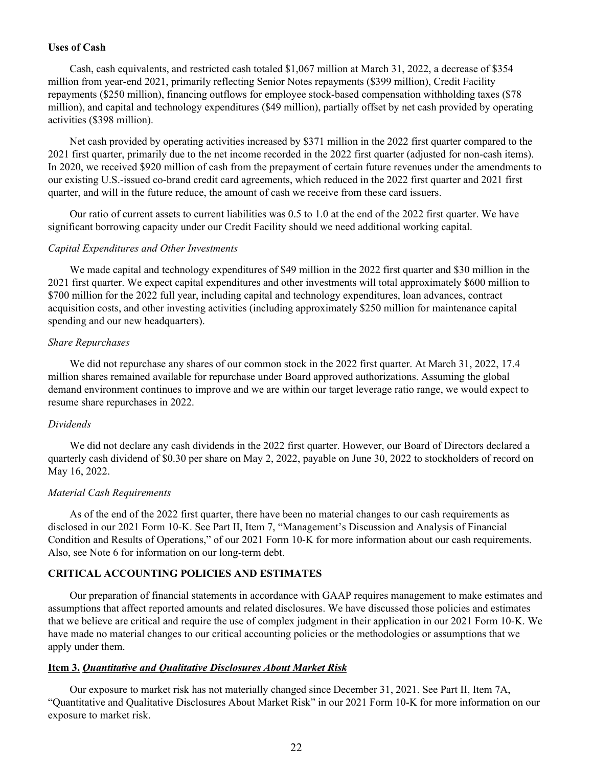## **Uses of Cash**

Cash, cash equivalents, and restricted cash totaled \$1,067 million at March 31, 2022, a decrease of \$354 million from year-end 2021, primarily reflecting Senior Notes repayments (\$399 million), Credit Facility repayments (\$250 million), financing outflows for employee stock-based compensation withholding taxes (\$78 million), and capital and technology expenditures (\$49 million), partially offset by net cash provided by operating activities (\$398 million).

Net cash provided by operating activities increased by \$371 million in the 2022 first quarter compared to the 2021 first quarter, primarily due to the net income recorded in the 2022 first quarter (adjusted for non-cash items). In 2020, we received \$920 million of cash from the prepayment of certain future revenues under the amendments to our existing U.S.-issued co-brand credit card agreements, which reduced in the 2022 first quarter and 2021 first quarter, and will in the future reduce, the amount of cash we receive from these card issuers.

Our ratio of current assets to current liabilities was 0.5 to 1.0 at the end of the 2022 first quarter. We have significant borrowing capacity under our Credit Facility should we need additional working capital.

#### *Capital Expenditures and Other Investments*

We made capital and technology expenditures of \$49 million in the 2022 first quarter and \$30 million in the 2021 first quarter. We expect capital expenditures and other investments will total approximately \$600 million to \$700 million for the 2022 full year, including capital and technology expenditures, loan advances, contract acquisition costs, and other investing activities (including approximately \$250 million for maintenance capital spending and our new headquarters).

#### *Share Repurchases*

We did not repurchase any shares of our common stock in the 2022 first quarter. At March 31, 2022, 17.4 million shares remained available for repurchase under Board approved authorizations. Assuming the global demand environment continues to improve and we are within our target leverage ratio range, we would expect to resume share repurchases in 2022.

#### *Dividends*

We did not declare any cash dividends in the 2022 first quarter. However, our Board of Directors declared a quarterly cash dividend of \$0.30 per share on May 2, 2022, payable on June 30, 2022 to stockholders of record on May 16, 2022.

#### *Material Cash Requirements*

As of the end of the 2022 first quarter, there have been no material changes to our cash requirements as disclosed in our 2021 Form 10-K. See Part II, Item 7, "Management's Discussion and Analysis of Financial Condition and Results of Operations," of our 2021 Form 10-K for more information about our cash requirements. Also, see Note 6 for information on our long-term debt.

## **CRITICAL ACCOUNTING POLICIES AND ESTIMATES**

Our preparation of financial statements in accordance with GAAP requires management to make estimates and assumptions that affect reported amounts and related disclosures. We have discussed those policies and estimates that we believe are critical and require the use of complex judgment in their application in our 2021 Form 10-K. We have made no material changes to our critical accounting policies or the methodologies or assumptions that we apply under them.

### **Item 3.** *Quantitative and Qualitative Disclosures About Market Risk*

Our exposure to market risk has not materially changed since December 31, 2021. See Part II, Item 7A, "Quantitative and Qualitative Disclosures About Market Risk" in our 2021 Form 10-K for more information on our exposure to market risk.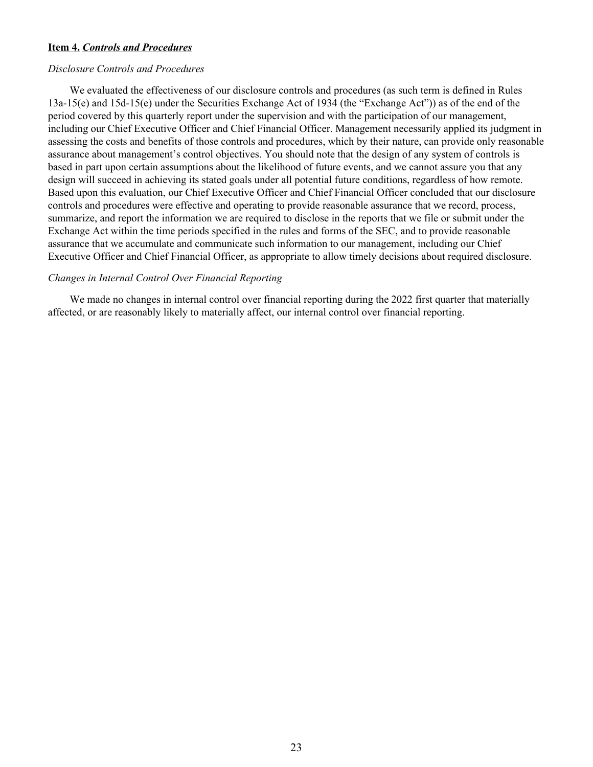## **Item 4.** *Controls and Procedures*

#### *Disclosure Controls and Procedures*

We evaluated the effectiveness of our disclosure controls and procedures (as such term is defined in Rules 13a-15(e) and 15d-15(e) under the Securities Exchange Act of 1934 (the "Exchange Act")) as of the end of the period covered by this quarterly report under the supervision and with the participation of our management, including our Chief Executive Officer and Chief Financial Officer. Management necessarily applied its judgment in assessing the costs and benefits of those controls and procedures, which by their nature, can provide only reasonable assurance about management's control objectives. You should note that the design of any system of controls is based in part upon certain assumptions about the likelihood of future events, and we cannot assure you that any design will succeed in achieving its stated goals under all potential future conditions, regardless of how remote. Based upon this evaluation, our Chief Executive Officer and Chief Financial Officer concluded that our disclosure controls and procedures were effective and operating to provide reasonable assurance that we record, process, summarize, and report the information we are required to disclose in the reports that we file or submit under the Exchange Act within the time periods specified in the rules and forms of the SEC, and to provide reasonable assurance that we accumulate and communicate such information to our management, including our Chief Executive Officer and Chief Financial Officer, as appropriate to allow timely decisions about required disclosure.

#### *Changes in Internal Control Over Financial Reporting*

We made no changes in internal control over financial reporting during the 2022 first quarter that materially affected, or are reasonably likely to materially affect, our internal control over financial reporting.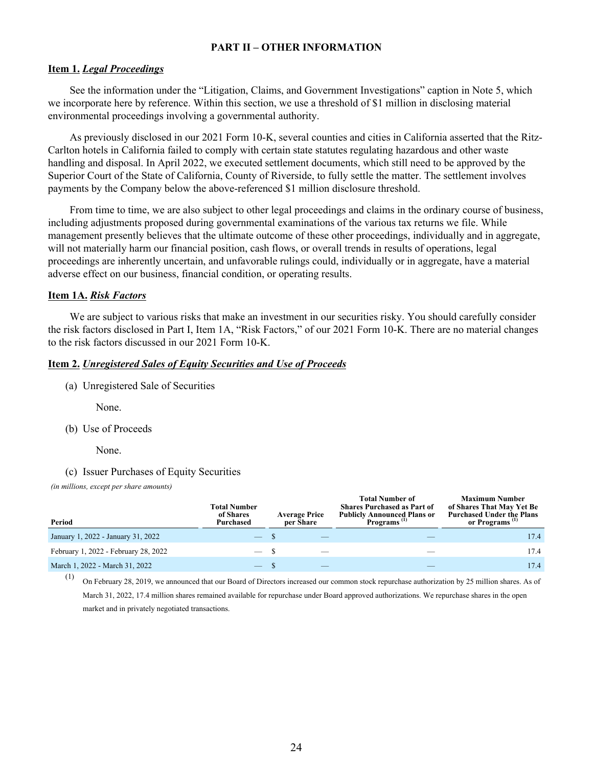## **PART II – OTHER INFORMATION**

#### **Item 1.** *Legal Proceedings*

See the information under the "Litigation, Claims, and Government Investigations" caption in Note 5, which we incorporate here by reference. Within this section, we use a threshold of \$1 million in disclosing material environmental proceedings involving a governmental authority.

As previously disclosed in our 2021 Form 10-K, several counties and cities in California asserted that the Ritz-Carlton hotels in California failed to comply with certain state statutes regulating hazardous and other waste handling and disposal. In April 2022, we executed settlement documents, which still need to be approved by the Superior Court of the State of California, County of Riverside, to fully settle the matter. The settlement involves payments by the Company below the above-referenced \$1 million disclosure threshold.

From time to time, we are also subject to other legal proceedings and claims in the ordinary course of business, including adjustments proposed during governmental examinations of the various tax returns we file. While management presently believes that the ultimate outcome of these other proceedings, individually and in aggregate, will not materially harm our financial position, cash flows, or overall trends in results of operations, legal proceedings are inherently uncertain, and unfavorable rulings could, individually or in aggregate, have a material adverse effect on our business, financial condition, or operating results.

#### **Item 1A.** *Risk Factors*

We are subject to various risks that make an investment in our securities risky. You should carefully consider the risk factors disclosed in Part I, Item 1A, "Risk Factors," of our 2021 Form 10-K. There are no material changes to the risk factors discussed in our 2021 Form 10-K.

#### **Item 2.** *Unregistered Sales of Equity Securities and Use of Proceeds*

(a) Unregistered Sale of Securities

None.

(b) Use of Proceeds

None.

(c) Issuer Purchases of Equity Securities

*(in millions, except per share amounts)*

| Period                               | <b>Total Number</b><br>of Shares<br>Purchased | <b>Average Price</b><br>per Share | <b>Total Number of</b><br><b>Shares Purchased as Part of</b><br><b>Publicly Announced Plans or</b><br>Programs <sup>(1)</sup> | <b>Maximum Number</b><br>of Shares That May Yet Be<br><b>Purchased Under the Plans</b><br>or Programs <sup>(1)</sup> |
|--------------------------------------|-----------------------------------------------|-----------------------------------|-------------------------------------------------------------------------------------------------------------------------------|----------------------------------------------------------------------------------------------------------------------|
| January 1, 2022 - January 31, 2022   | $\overline{\phantom{a}}$                      |                                   |                                                                                                                               | 17.4                                                                                                                 |
| February 1, 2022 - February 28, 2022 |                                               |                                   |                                                                                                                               | 17.4                                                                                                                 |
| March 1, 2022 - March 31, 2022       |                                               |                                   |                                                                                                                               | 17.4                                                                                                                 |

(1) On February 28, 2019, we announced that our Board of Directors increased our common stock repurchase authorization by 25 million shares. As of March 31, 2022, 17.4 million shares remained available for repurchase under Board approved authorizations. We repurchase shares in the open market and in privately negotiated transactions.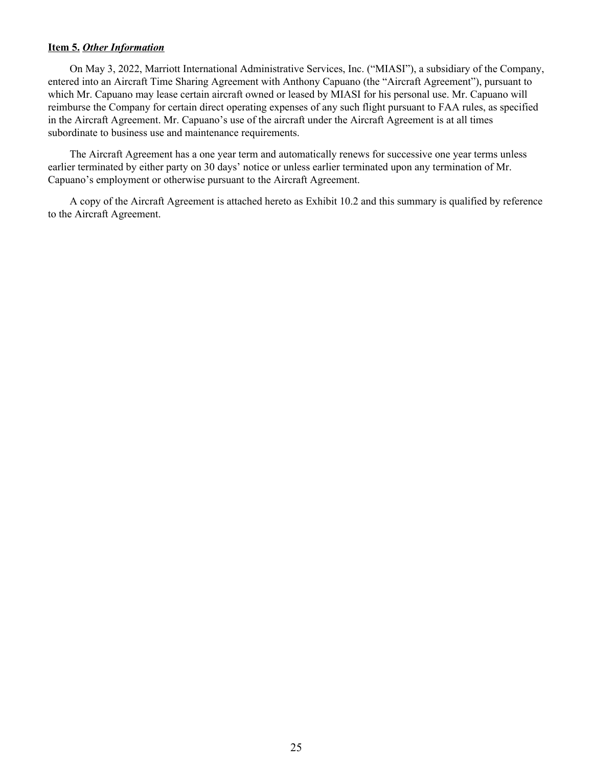## **Item 5.** *Other Information*

On May 3, 2022, Marriott International Administrative Services, Inc. ("MIASI"), a subsidiary of the Company, entered into an Aircraft Time Sharing Agreement with Anthony Capuano (the "Aircraft Agreement"), pursuant to which Mr. Capuano may lease certain aircraft owned or leased by MIASI for his personal use. Mr. Capuano will reimburse the Company for certain direct operating expenses of any such flight pursuant to FAA rules, as specified in the Aircraft Agreement. Mr. Capuano's use of the aircraft under the Aircraft Agreement is at all times subordinate to business use and maintenance requirements.

The Aircraft Agreement has a one year term and automatically renews for successive one year terms unless earlier terminated by either party on 30 days' notice or unless earlier terminated upon any termination of Mr. Capuano's employment or otherwise pursuant to the Aircraft Agreement.

A copy of the Aircraft Agreement is attached hereto as Exhibit 10.2 and this summary is qualified by reference to the Aircraft Agreement.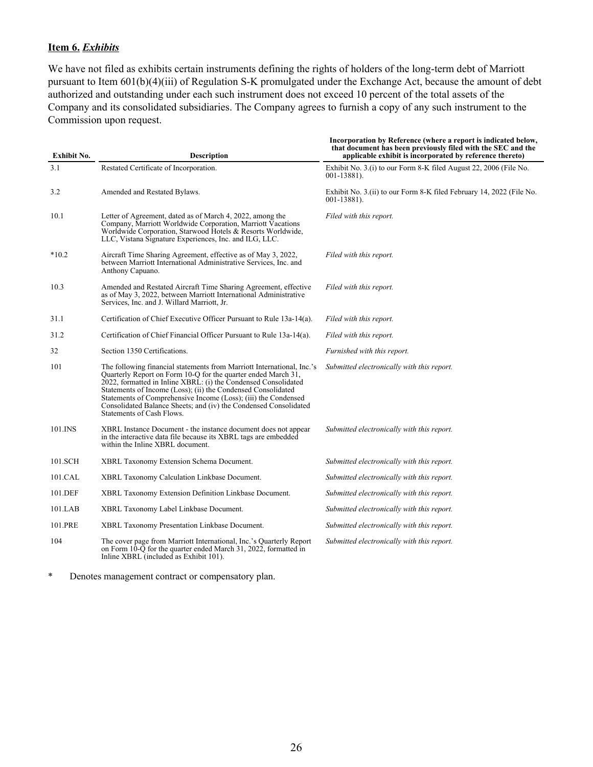## **Item 6.** *Exhibits*

We have not filed as exhibits certain instruments defining the rights of holders of the long-term debt of Marriott pursuant to Item 601(b)(4)(iii) of Regulation S-K promulgated under the Exchange Act, because the amount of debt authorized and outstanding under each such instrument does not exceed 10 percent of the total assets of the Company and its consolidated subsidiaries. The Company agrees to furnish a copy of any such instrument to the Commission upon request.

| <b>Exhibit No.</b> | <b>Description</b>                                                                                                                                                                                                                                                                                                                                                                                                                           | Incorporation by Reference (where a report is indicated below,<br>that document has been previously filed with the SEC and the<br>applicable exhibit is incorporated by reference thereto) |
|--------------------|----------------------------------------------------------------------------------------------------------------------------------------------------------------------------------------------------------------------------------------------------------------------------------------------------------------------------------------------------------------------------------------------------------------------------------------------|--------------------------------------------------------------------------------------------------------------------------------------------------------------------------------------------|
| 3.1                | Restated Certificate of Incorporation.                                                                                                                                                                                                                                                                                                                                                                                                       | Exhibit No. 3.(i) to our Form 8-K filed August 22, 2006 (File No.<br>$001 - 13881$ .                                                                                                       |
| 3.2                | Amended and Restated Bylaws.                                                                                                                                                                                                                                                                                                                                                                                                                 | Exhibit No. 3.(ii) to our Form 8-K filed February 14, 2022 (File No.<br>$001 - 13881$ .                                                                                                    |
| 10.1               | Letter of Agreement, dated as of March 4, 2022, among the<br>Company, Marriott Worldwide Corporation, Marriott Vacations<br>Worldwide Corporation, Starwood Hotels & Resorts Worldwide,<br>LLC, Vistana Signature Experiences, Inc. and ILG, LLC.                                                                                                                                                                                            | Filed with this report.                                                                                                                                                                    |
| $*10.2$            | Aircraft Time Sharing Agreement, effective as of May 3, 2022,<br>between Marriott International Administrative Services, Inc. and<br>Anthony Capuano.                                                                                                                                                                                                                                                                                        | Filed with this report.                                                                                                                                                                    |
| 10.3               | Amended and Restated Aircraft Time Sharing Agreement, effective<br>as of May 3, 2022, between Marriott International Administrative<br>Services, Inc. and J. Willard Marriott, Jr.                                                                                                                                                                                                                                                           | Filed with this report.                                                                                                                                                                    |
| 31.1               | Certification of Chief Executive Officer Pursuant to Rule 13a-14(a).                                                                                                                                                                                                                                                                                                                                                                         | Filed with this report.                                                                                                                                                                    |
| 31.2               | Certification of Chief Financial Officer Pursuant to Rule 13a-14(a).                                                                                                                                                                                                                                                                                                                                                                         | Filed with this report.                                                                                                                                                                    |
| 32                 | Section 1350 Certifications.                                                                                                                                                                                                                                                                                                                                                                                                                 | Furnished with this report.                                                                                                                                                                |
| 101                | The following financial statements from Marriott International, Inc.'s<br>Quarterly Report on Form 10-Q for the quarter ended March 31,<br>2022, formatted in Inline XBRL: (i) the Condensed Consolidated<br>Statements of Income (Loss); (ii) the Condensed Consolidated<br>Statements of Comprehensive Income (Loss); (iii) the Condensed<br>Consolidated Balance Sheets; and (iv) the Condensed Consolidated<br>Statements of Cash Flows. | Submitted electronically with this report.                                                                                                                                                 |
| 101.INS            | XBRL Instance Document - the instance document does not appear<br>in the interactive data file because its XBRL tags are embedded<br>within the Inline XBRL document.                                                                                                                                                                                                                                                                        | Submitted electronically with this report.                                                                                                                                                 |
| 101.SCH            | XBRL Taxonomy Extension Schema Document.                                                                                                                                                                                                                                                                                                                                                                                                     | Submitted electronically with this report.                                                                                                                                                 |
| 101.CAL            | XBRL Taxonomy Calculation Linkbase Document.                                                                                                                                                                                                                                                                                                                                                                                                 | Submitted electronically with this report.                                                                                                                                                 |
| 101.DEF            | XBRL Taxonomy Extension Definition Linkbase Document.                                                                                                                                                                                                                                                                                                                                                                                        | Submitted electronically with this report.                                                                                                                                                 |
| 101.LAB            | XBRL Taxonomy Label Linkbase Document.                                                                                                                                                                                                                                                                                                                                                                                                       | Submitted electronically with this report.                                                                                                                                                 |
| 101.PRE            | XBRL Taxonomy Presentation Linkbase Document.                                                                                                                                                                                                                                                                                                                                                                                                | Submitted electronically with this report.                                                                                                                                                 |
| 104                | The cover page from Marriott International, Inc.'s Quarterly Report<br>on Form $10-\overline{Q}$ for the quarter ended March 31, 2022, formatted in<br>Inline XBRL (included as Exhibit 101).                                                                                                                                                                                                                                                | Submitted electronically with this report.                                                                                                                                                 |

\* Denotes management contract or compensatory plan.